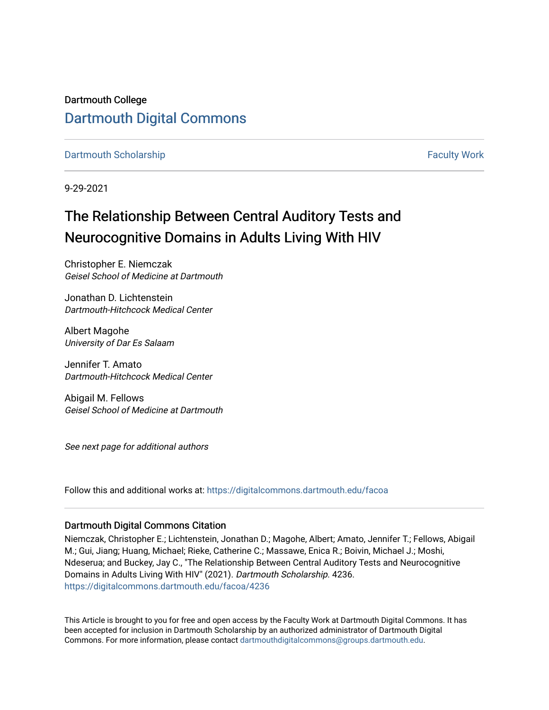# Dartmouth College [Dartmouth Digital Commons](https://digitalcommons.dartmouth.edu/)

[Dartmouth Scholarship](https://digitalcommons.dartmouth.edu/facoa) [Faculty Work](https://digitalcommons.dartmouth.edu/faculty) and The Basic Scholarship Faculty Work Faculty Work

9-29-2021

# The Relationship Between Central Auditory Tests and Neurocognitive Domains in Adults Living With HIV

Christopher E. Niemczak Geisel School of Medicine at Dartmouth

Jonathan D. Lichtenstein Dartmouth-Hitchcock Medical Center

Albert Magohe University of Dar Es Salaam

Jennifer T. Amato Dartmouth-Hitchcock Medical Center

Abigail M. Fellows Geisel School of Medicine at Dartmouth

See next page for additional authors

Follow this and additional works at: [https://digitalcommons.dartmouth.edu/facoa](https://digitalcommons.dartmouth.edu/facoa?utm_source=digitalcommons.dartmouth.edu%2Ffacoa%2F4236&utm_medium=PDF&utm_campaign=PDFCoverPages)

#### Dartmouth Digital Commons Citation

Niemczak, Christopher E.; Lichtenstein, Jonathan D.; Magohe, Albert; Amato, Jennifer T.; Fellows, Abigail M.; Gui, Jiang; Huang, Michael; Rieke, Catherine C.; Massawe, Enica R.; Boivin, Michael J.; Moshi, Ndeserua; and Buckey, Jay C., "The Relationship Between Central Auditory Tests and Neurocognitive Domains in Adults Living With HIV" (2021). Dartmouth Scholarship. 4236. [https://digitalcommons.dartmouth.edu/facoa/4236](https://digitalcommons.dartmouth.edu/facoa/4236?utm_source=digitalcommons.dartmouth.edu%2Ffacoa%2F4236&utm_medium=PDF&utm_campaign=PDFCoverPages) 

This Article is brought to you for free and open access by the Faculty Work at Dartmouth Digital Commons. It has been accepted for inclusion in Dartmouth Scholarship by an authorized administrator of Dartmouth Digital Commons. For more information, please contact [dartmouthdigitalcommons@groups.dartmouth.edu](mailto:dartmouthdigitalcommons@groups.dartmouth.edu).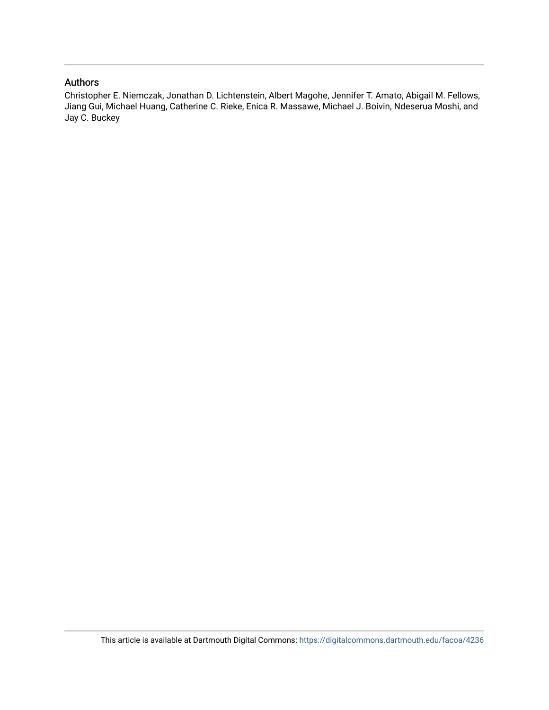#### Authors

Christopher E. Niemczak, Jonathan D. Lichtenstein, Albert Magohe, Jennifer T. Amato, Abigail M. Fellows, Jiang Gui, Michael Huang, Catherine C. Rieke, Enica R. Massawe, Michael J. Boivin, Ndeserua Moshi, and Jay C. Buckey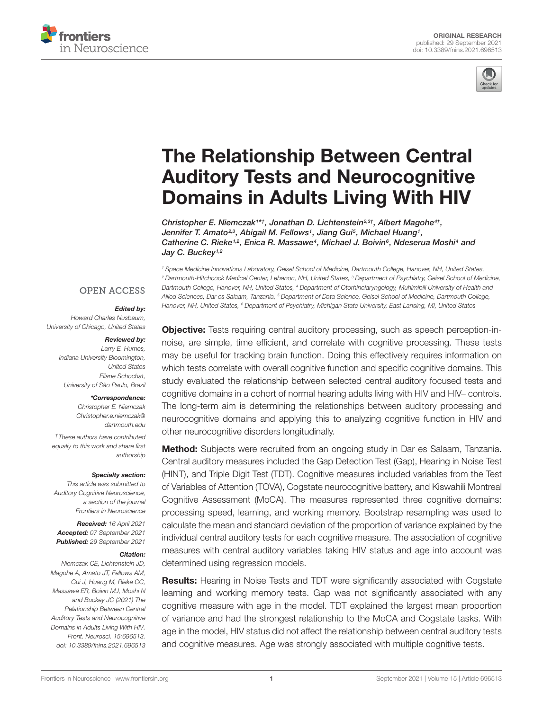



# The Relationship Between Central [Auditory Tests and Neurocognitive](https://www.frontiersin.org/articles/10.3389/fnins.2021.696513/full) Domains in Adults Living With HIV

Christopher E. Niemczak<sup>1\*†</sup>, Jonathan D. Lichtenstein<sup>2,3†</sup>, Albert Magohe<sup>4†</sup>, Jennifer T. Amato<sup>2,3</sup>, Abigail M. Fellows<sup>1</sup>, Jiang Gui<sup>5</sup>, Michael Huang<sup>1</sup>, Catherine C. Rieke<sup>1,2</sup>, Enica R. Massawe<sup>4</sup>, Michael J. Boivin<sup>6</sup>, Ndeserua Moshi<sup>4</sup> and Jay C. Buckey<sup>1,2</sup>

<sup>1</sup> Space Medicine Innovations Laboratory, Geisel School of Medicine, Dartmouth College, Hanover, NH, United States, <sup>2</sup> Dartmouth-Hitchcock Medical Center, Lebanon, NH, United States, <sup>3</sup> Department of Psychiatry, Geisel School of Medicine, Dartmouth College, Hanover, NH, United States, <sup>4</sup> Department of Otorhinolaryngology, Muhimibili University of Health and Allied Sciences, Dar es Salaam, Tanzania, <sup>5</sup> Department of Data Science, Geisel School of Medicine, Dartmouth College, Hanover, NH, United States, <sup>6</sup> Department of Psychiatry, Michigan State University, East Lansing, MI, United States

## **OPEN ACCESS**

#### Edited by:

Howard Charles Nusbaum, University of Chicago, United States

#### Reviewed by:

Larry E. Humes, Indiana University Bloomington, United States Eliane Schochat, University of São Paulo, Brazil

#### \*Correspondence:

Christopher E. Niemczak [Christopher.e.niemczak@](mailto:Christopher.e.niemczak@dartmouth.edu) [dartmouth.edu](mailto:Christopher.e.niemczak@dartmouth.edu)

†These authors have contributed equally to this work and share first authorship

#### Specialty section:

This article was submitted to Auditory Cognitive Neuroscience, a section of the journal Frontiers in Neuroscience

Received: 16 April 2021 Accepted: 07 September 2021 Published: 29 September 2021

#### Citation:

Niemczak CE, Lichtenstein JD, Magohe A, Amato JT, Fellows AM, Gui J, Huang M, Rieke CC, Massawe ER, Boivin MJ, Moshi N and Buckey JC (2021) The Relationship Between Central Auditory Tests and Neurocognitive Domains in Adults Living With HIV. Front. Neurosci. 15:696513. doi: [10.3389/fnins.2021.696513](https://doi.org/10.3389/fnins.2021.696513) Objective: Tests requiring central auditory processing, such as speech perception-innoise, are simple, time efficient, and correlate with cognitive processing. These tests may be useful for tracking brain function. Doing this effectively requires information on which tests correlate with overall cognitive function and specific cognitive domains. This study evaluated the relationship between selected central auditory focused tests and cognitive domains in a cohort of normal hearing adults living with HIV and HIV– controls. The long-term aim is determining the relationships between auditory processing and neurocognitive domains and applying this to analyzing cognitive function in HIV and other neurocognitive disorders longitudinally.

Method: Subjects were recruited from an ongoing study in Dar es Salaam, Tanzania. Central auditory measures included the Gap Detection Test (Gap), Hearing in Noise Test (HINT), and Triple Digit Test (TDT). Cognitive measures included variables from the Test of Variables of Attention (TOVA), Cogstate neurocognitive battery, and Kiswahili Montreal Cognitive Assessment (MoCA). The measures represented three cognitive domains: processing speed, learning, and working memory. Bootstrap resampling was used to calculate the mean and standard deviation of the proportion of variance explained by the individual central auditory tests for each cognitive measure. The association of cognitive measures with central auditory variables taking HIV status and age into account was determined using regression models.

Results: Hearing in Noise Tests and TDT were significantly associated with Cogstate learning and working memory tests. Gap was not significantly associated with any cognitive measure with age in the model. TDT explained the largest mean proportion of variance and had the strongest relationship to the MoCA and Cogstate tasks. With age in the model, HIV status did not affect the relationship between central auditory tests and cognitive measures. Age was strongly associated with multiple cognitive tests.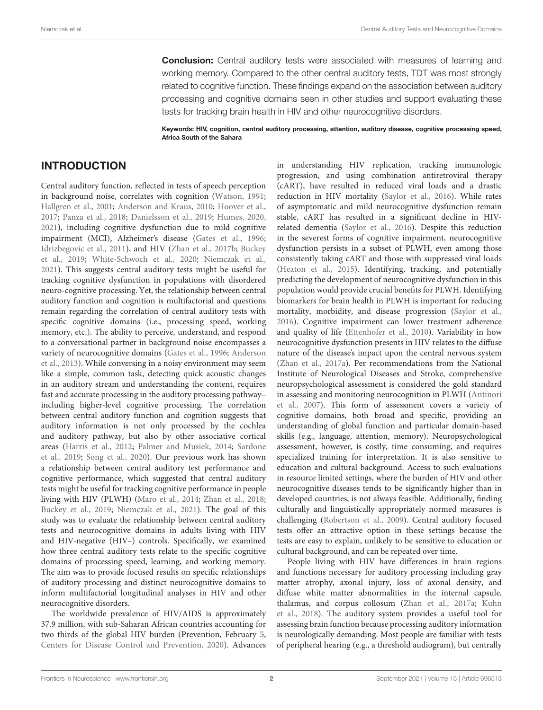**Conclusion:** Central auditory tests were associated with measures of learning and working memory. Compared to the other central auditory tests, TDT was most strongly related to cognitive function. These findings expand on the association between auditory processing and cognitive domains seen in other studies and support evaluating these tests for tracking brain health in HIV and other neurocognitive disorders.

Keywords: HIV, cognition, central auditory processing, attention, auditory disease, cognitive processing speed, Africa South of the Sahara

## INTRODUCTION

Central auditory function, reflected in tests of speech perception in background noise, correlates with cognition [\(Watson,](#page-13-0) [1991;](#page-13-0) [Hallgren et al.,](#page-12-0) [2001;](#page-12-0) [Anderson and Kraus,](#page-12-1) [2010;](#page-12-1) [Hoover et al.,](#page-12-2) [2017;](#page-12-2) [Panza et al.,](#page-13-1) [2018;](#page-13-1) [Danielsson et al.,](#page-12-3) [2019;](#page-12-3) [Humes,](#page-12-4) [2020,](#page-12-4) [2021\)](#page-12-5), including cognitive dysfunction due to mild cognitive impairment (MCI), Alzheimer's disease [\(Gates et al.,](#page-12-6) [1996;](#page-12-6) [Idrizbegovic et al.,](#page-13-2) [2011\)](#page-13-2), and HIV [\(Zhan et al.,](#page-14-0) [2017b;](#page-14-0) [Buckey](#page-12-7) [et al.,](#page-12-7) [2019;](#page-12-7) [White-Schwoch et al.,](#page-13-3) [2020;](#page-13-3) [Niemczak et al.,](#page-13-4) [2021\)](#page-13-4). This suggests central auditory tests might be useful for tracking cognitive dysfunction in populations with disordered neuro-cognitive processing. Yet, the relationship between central auditory function and cognition is multifactorial and questions remain regarding the correlation of central auditory tests with specific cognitive domains (i.e., processing speed, working memory, etc.). The ability to perceive, understand, and respond to a conversational partner in background noise encompasses a variety of neurocognitive domains [\(Gates et al.,](#page-12-6) [1996;](#page-12-6) [Anderson](#page-12-8) [et al.,](#page-12-8) [2013\)](#page-12-8). While conversing in a noisy environment may seem like a simple, common task, detecting quick acoustic changes in an auditory stream and understanding the content, requires fast and accurate processing in the auditory processing pathway– including higher-level cognitive processing. The correlation between central auditory function and cognition suggests that auditory information is not only processed by the cochlea and auditory pathway, but also by other associative cortical areas [\(Harris et al.,](#page-12-9) [2012;](#page-12-9) [Palmer and Musiek,](#page-13-5) [2014;](#page-13-5) [Sardone](#page-13-6) [et al.,](#page-13-6) [2019;](#page-13-6) [Song et al.,](#page-13-7) [2020\)](#page-13-7). Our previous work has shown a relationship between central auditory test performance and cognitive performance, which suggested that central auditory tests might be useful for tracking cognitive performance in people living with HIV (PLWH) [\(Maro et al.,](#page-13-8) [2014;](#page-13-8) [Zhan et al.,](#page-14-1) [2018;](#page-14-1) [Buckey et al.,](#page-12-7) [2019;](#page-12-7) [Niemczak et al.,](#page-13-4) [2021\)](#page-13-4). The goal of this study was to evaluate the relationship between central auditory tests and neurocognitive domains in adults living with HIV and HIV-negative (HIV–) controls. Specifically, we examined how three central auditory tests relate to the specific cognitive domains of processing speed, learning, and working memory. The aim was to provide focused results on specific relationships of auditory processing and distinct neurocognitive domains to inform multifactorial longitudinal analyses in HIV and other neurocognitive disorders.

The worldwide prevalence of HIV/AIDS is approximately 37.9 million, with sub-Saharan African countries accounting for two thirds of the global HIV burden (Prevention, February 5, [Centers for Disease Control and Prevention,](#page-12-10) [2020\)](#page-12-10). Advances in understanding HIV replication, tracking immunologic progression, and using combination antiretroviral therapy (cART), have resulted in reduced viral loads and a drastic reduction in HIV mortality [\(Saylor et al.,](#page-13-9) [2016\)](#page-13-9). While rates of asymptomatic and mild neurocognitive dysfunction remain stable, cART has resulted in a significant decline in HIVrelated dementia [\(Saylor et al.,](#page-13-9) [2016\)](#page-13-9). Despite this reduction in the severest forms of cognitive impairment, neurocognitive dysfunction persists in a subset of PLWH, even among those consistently taking cART and those with suppressed viral loads [\(Heaton et al.,](#page-12-11) [2015\)](#page-12-11). Identifying, tracking, and potentially predicting the development of neurocognitive dysfunction in this population would provide crucial benefits for PLWH. Identifying biomarkers for brain health in PLWH is important for reducing mortality, morbidity, and disease progression [\(Saylor et al.,](#page-13-9) [2016\)](#page-13-9). Cognitive impairment can lower treatment adherence and quality of life [\(Ettenhofer et al.,](#page-12-12) [2010\)](#page-12-12). Variability in how neurocognitive dysfunction presents in HIV relates to the diffuse nature of the disease's impact upon the central nervous system [\(Zhan et al.,](#page-14-2) [2017a\)](#page-14-2). Per recommendations from the National Institute of Neurological Diseases and Stroke, comprehensive neuropsychological assessment is considered the gold standard in assessing and monitoring neurocognition in PLWH [\(Antinori](#page-12-13) [et al.,](#page-12-13) [2007\)](#page-12-13). This form of assessment covers a variety of cognitive domains, both broad and specific, providing an understanding of global function and particular domain-based skills (e.g., language, attention, memory). Neuropsychological assessment, however, is costly, time consuming, and requires specialized training for interpretation. It is also sensitive to education and cultural background. Access to such evaluations in resource limited settings, where the burden of HIV and other neurocognitive diseases tends to be significantly higher than in developed countries, is not always feasible. Additionally, finding culturally and linguistically appropriately normed measures is challenging [\(Robertson et al.,](#page-13-10) [2009\)](#page-13-10). Central auditory focused tests offer an attractive option in these settings because the tests are easy to explain, unlikely to be sensitive to education or cultural background, and can be repeated over time.

People living with HIV have differences in brain regions and functions necessary for auditory processing including gray matter atrophy, axonal injury, loss of axonal density, and diffuse white matter abnormalities in the internal capsule, thalamus, and corpus collosum [\(Zhan et al.,](#page-14-2) [2017a;](#page-14-2) [Kuhn](#page-13-11) [et al.,](#page-13-11) [2018\)](#page-13-11). The auditory system provides a useful tool for assessing brain function because processing auditory information is neurologically demanding. Most people are familiar with tests of peripheral hearing (e.g., a threshold audiogram), but centrally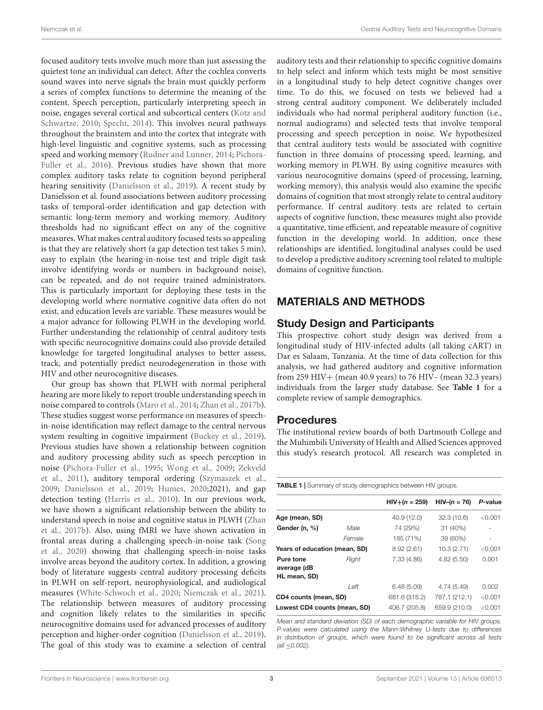focused auditory tests involve much more than just assessing the quietest tone an individual can detect. After the cochlea converts sound waves into nerve signals the brain must quickly perform a series of complex functions to determine the meaning of the content. Speech perception, particularly interpreting speech in noise, engages several cortical and subcortical centers [\(Kotz and](#page-13-12) [Schwartze,](#page-13-12) [2010;](#page-13-12) [Specht,](#page-13-13) [2014\)](#page-13-13). This involves neural pathways throughout the brainstem and into the cortex that integrate with high-level linguistic and cognitive systems, such as processing speed and working memory [\(Rudner and Lunner,](#page-13-14) [2014;](#page-13-14) [Pichora-](#page-13-15)[Fuller et al.,](#page-13-15) [2016\)](#page-13-15). Previous studies have shown that more complex auditory tasks relate to cognition beyond peripheral hearing sensitivity [\(Danielsson et al.,](#page-12-3) [2019\)](#page-12-3). A recent study by Danielsson et al. found associations between auditory processing tasks of temporal-order identification and gap detection with semantic long-term memory and working memory. Auditory thresholds had no significant effect on any of the cognitive measures. What makes central auditory focused tests so appealing is that they are relatively short (a gap detection test takes 5 min), easy to explain (the hearing-in-noise test and triple digit task involve identifying words or numbers in background noise), can be repeated, and do not require trained administrators. This is particularly important for deploying these tests in the developing world where normative cognitive data often do not exist, and education levels are variable. These measures would be a major advance for following PLWH in the developing world. Further understanding the relationship of central auditory tests with specific neurocognitive domains could also provide detailed knowledge for targeted longitudinal analyses to better assess, track, and potentially predict neurodegeneration in those with HIV and other neurocognitive diseases.

Our group has shown that PLWH with normal peripheral hearing are more likely to report trouble understanding speech in noise compared to controls [\(Maro et al.,](#page-13-8) [2014;](#page-13-8) [Zhan et al.,](#page-14-0) [2017b\)](#page-14-0). These studies suggest worse performance on measures of speechin-noise identification may reflect damage to the central nervous system resulting in cognitive impairment [\(Buckey et al.,](#page-12-7) [2019\)](#page-12-7). Previous studies have shown a relationship between cognition and auditory processing ability such as speech perception in noise [\(Pichora-Fuller et al.,](#page-13-16) [1995;](#page-13-16) [Wong et al.,](#page-14-3) [2009;](#page-14-3) [Zekveld](#page-14-4) [et al.,](#page-14-4) [2011\)](#page-14-4), auditory temporal ordering [\(Szymaszek et al.,](#page-13-17) [2009;](#page-13-17) [Danielsson et al.,](#page-12-3) [2019;](#page-12-3) [Humes,](#page-12-4) [2020;](#page-12-4)2021), and gap detection testing [\(Harris et al.,](#page-12-14) [2010\)](#page-12-14). In our previous work, we have shown a significant relationship between the ability to understand speech in noise and cognitive status in PLWH [\(Zhan](#page-14-0) [et al.,](#page-14-0) [2017b\)](#page-14-0). Also, using fMRI we have shown activation in frontal areas during a challenging speech-in-noise task [\(Song](#page-13-7) [et al.,](#page-13-7) [2020\)](#page-13-7) showing that challenging speech-in-noise tasks involve areas beyond the auditory cortex. In addition, a growing body of literature suggests central auditory processing deficits in PLWH on self-report, neurophysiological, and audiological measures [\(White-Schwoch et al.,](#page-13-3) [2020;](#page-13-3) [Niemczak et al.,](#page-13-4) [2021\)](#page-13-4). The relationship between measures of auditory processing and cognition likely relates to the similarities in specific neurocognitive domains used for advanced processes of auditory perception and higher-order cognition [\(Danielsson et al.,](#page-12-3) [2019\)](#page-12-3). The goal of this study was to examine a selection of central auditory tests and their relationship to specific cognitive domains to help select and inform which tests might be most sensitive in a longitudinal study to help detect cognitive changes over time. To do this, we focused on tests we believed had a strong central auditory component. We deliberately included individuals who had normal peripheral auditory function (i.e., normal audiograms) and selected tests that involve temporal processing and speech perception in noise. We hypothesized that central auditory tests would be associated with cognitive function in three domains of processing speed, learning, and working memory in PLWH. By using cognitive measures with various neurocognitive domains (speed of processing, learning, working memory), this analysis would also examine the specific domains of cognition that most strongly relate to central auditory performance. If central auditory tests are related to certain aspects of cognitive function, these measures might also provide a quantitative, time efficient, and repeatable measure of cognitive function in the developing world. In addition, once these relationships are identified, longitudinal analyses could be used to develop a predictive auditory screening tool related to multiple domains of cognitive function.

## MATERIALS AND METHODS

## Study Design and Participants

This prospective cohort study design was derived from a longitudinal study of HIV-infected adults (all taking cART) in Dar es Salaam, Tanzania. At the time of data collection for this analysis, we had gathered auditory and cognitive information from 259 HIV+ (mean 40.9 years) to 76 HIV– (mean 32.3 years) individuals from the larger study database. See **[Table 1](#page-4-0)** for a complete review of sample demographics.

#### Procedures

The institutional review boards of both Dartmouth College and the Muhimbili University of Health and Allied Sciences approved this study's research protocol. All research was completed in

<span id="page-4-0"></span>TABLE 1 | Summary of study demographics between HIV groups.

|                                                       | $HIV+ (n = 259)$ | $HIV-(n = 76)$                               | P-value            |
|-------------------------------------------------------|------------------|----------------------------------------------|--------------------|
|                                                       | 40.9 (12.0)      | 32.3(10.6)                                   | < 0.001            |
| Male                                                  | 74 (29%)         | 31 (40%)                                     | -                  |
| Female                                                | 185 (71%)        | 39 (60%)                                     | ۰                  |
| Years of education (mean, SD)                         |                  | 10.3(2.71)                                   | $<$ 0.001          |
| Right                                                 | 7.33 (4.86)      | 4.82(5.50)                                   | 0.001              |
| Left                                                  | 6.48(5.09)       | 4.74 (5.49)                                  | 0.002              |
| CD4 counts (mean, SD)<br>Lowest CD4 counts (mean, SD) |                  | 787.1 (212.1)<br>659.9 (210.0)               | < 0.001<br>< 0.001 |
|                                                       |                  | 8.92(2.61)<br>681.6 (318.2)<br>406.7 (205.8) |                    |

Mean and standard deviation (SD) of each demographic variable for HIV groups. P-values were calculated using the Mann-Whitney U-tests due to differences in distribution of groups, which were found to be significant across all tests (all ≤0.002).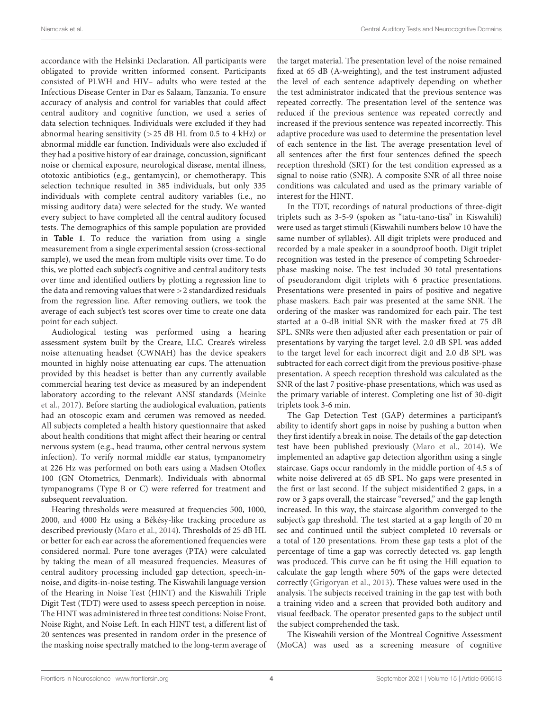accordance with the Helsinki Declaration. All participants were obligated to provide written informed consent. Participants consisted of PLWH and HIV– adults who were tested at the Infectious Disease Center in Dar es Salaam, Tanzania. To ensure accuracy of analysis and control for variables that could affect central auditory and cognitive function, we used a series of data selection techniques. Individuals were excluded if they had abnormal hearing sensitivity ( $>$ 25 dB HL from 0.5 to 4 kHz) or abnormal middle ear function. Individuals were also excluded if they had a positive history of ear drainage, concussion, significant noise or chemical exposure, neurological disease, mental illness, ototoxic antibiotics (e.g., gentamycin), or chemotherapy. This selection technique resulted in 385 individuals, but only 335 individuals with complete central auditory variables (i.e., no missing auditory data) were selected for the study. We wanted every subject to have completed all the central auditory focused tests. The demographics of this sample population are provided in **[Table 1](#page-4-0)**. To reduce the variation from using a single measurement from a single experimental session (cross-sectional sample), we used the mean from multiple visits over time. To do this, we plotted each subject's cognitive and central auditory tests over time and identified outliers by plotting a regression line to the data and removing values that were >2 standardized residuals from the regression line. After removing outliers, we took the average of each subject's test scores over time to create one data point for each subject.

Audiological testing was performed using a hearing assessment system built by the Creare, LLC. Creare's wireless noise attenuating headset (CWNAH) has the device speakers mounted in highly noise attenuating ear cups. The attenuation provided by this headset is better than any currently available commercial hearing test device as measured by an independent laboratory according to the relevant ANSI standards [\(Meinke](#page-13-18) [et al.,](#page-13-18) [2017\)](#page-13-18). Before starting the audiological evaluation, patients had an otoscopic exam and cerumen was removed as needed. All subjects completed a health history questionnaire that asked about health conditions that might affect their hearing or central nervous system (e.g., head trauma, other central nervous system infection). To verify normal middle ear status, tympanometry at 226 Hz was performed on both ears using a Madsen Otoflex 100 (GN Otometrics, Denmark). Individuals with abnormal tympanograms (Type B or C) were referred for treatment and subsequent reevaluation.

Hearing thresholds were measured at frequencies 500, 1000, 2000, and 4000 Hz using a Békésy-like tracking procedure as described previously [\(Maro et al.,](#page-13-8) [2014\)](#page-13-8). Thresholds of 25 dB HL or better for each ear across the aforementioned frequencies were considered normal. Pure tone averages (PTA) were calculated by taking the mean of all measured frequencies. Measures of central auditory processing included gap detection, speech-innoise, and digits-in-noise testing. The Kiswahili language version of the Hearing in Noise Test (HINT) and the Kiswahili Triple Digit Test (TDT) were used to assess speech perception in noise. The HINT was administered in three test conditions: Noise Front, Noise Right, and Noise Left. In each HINT test, a different list of 20 sentences was presented in random order in the presence of the masking noise spectrally matched to the long-term average of the target material. The presentation level of the noise remained fixed at 65 dB (A-weighting), and the test instrument adjusted the level of each sentence adaptively depending on whether the test administrator indicated that the previous sentence was repeated correctly. The presentation level of the sentence was reduced if the previous sentence was repeated correctly and increased if the previous sentence was repeated incorrectly. This adaptive procedure was used to determine the presentation level of each sentence in the list. The average presentation level of all sentences after the first four sentences defined the speech reception threshold (SRT) for the test condition expressed as a signal to noise ratio (SNR). A composite SNR of all three noise conditions was calculated and used as the primary variable of interest for the HINT.

In the TDT, recordings of natural productions of three-digit triplets such as 3-5-9 (spoken as "tatu-tano-tisa" in Kiswahili) were used as target stimuli (Kiswahili numbers below 10 have the same number of syllables). All digit triplets were produced and recorded by a male speaker in a soundproof booth. Digit triplet recognition was tested in the presence of competing Schroederphase masking noise. The test included 30 total presentations of pseudorandom digit triplets with 6 practice presentations. Presentations were presented in pairs of positive and negative phase maskers. Each pair was presented at the same SNR. The ordering of the masker was randomized for each pair. The test started at a 0-dB initial SNR with the masker fixed at 75 dB SPL. SNRs were then adjusted after each presentation or pair of presentations by varying the target level. 2.0 dB SPL was added to the target level for each incorrect digit and 2.0 dB SPL was subtracted for each correct digit from the previous positive-phase presentation. A speech reception threshold was calculated as the SNR of the last 7 positive-phase presentations, which was used as the primary variable of interest. Completing one list of 30-digit triplets took 3-6 min.

The Gap Detection Test (GAP) determines a participant's ability to identify short gaps in noise by pushing a button when they first identify a break in noise. The details of the gap detection test have been published previously [\(Maro et al.,](#page-13-8) [2014\)](#page-13-8). We implemented an adaptive gap detection algorithm using a single staircase. Gaps occur randomly in the middle portion of 4.5 s of white noise delivered at 65 dB SPL. No gaps were presented in the first or last second. If the subject misidentified 2 gaps, in a row or 3 gaps overall, the staircase "reversed," and the gap length increased. In this way, the staircase algorithm converged to the subject's gap threshold. The test started at a gap length of 20 m sec and continued until the subject completed 10 reversals or a total of 120 presentations. From these gap tests a plot of the percentage of time a gap was correctly detected vs. gap length was produced. This curve can be fit using the Hill equation to calculate the gap length where 50% of the gaps were detected correctly [\(Grigoryan et al.,](#page-12-15) [2013\)](#page-12-15). These values were used in the analysis. The subjects received training in the gap test with both a training video and a screen that provided both auditory and visual feedback. The operator presented gaps to the subject until the subject comprehended the task.

The Kiswahili version of the Montreal Cognitive Assessment (MoCA) was used as a screening measure of cognitive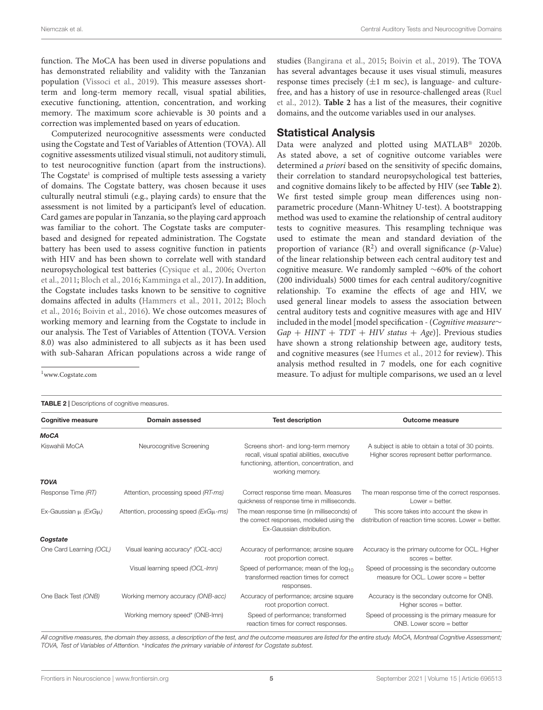function. The MoCA has been used in diverse populations and has demonstrated reliability and validity with the Tanzanian population [\(Vissoci et al.,](#page-13-19) [2019\)](#page-13-19). This measure assesses shortterm and long-term memory recall, visual spatial abilities, executive functioning, attention, concentration, and working memory. The maximum score achievable is 30 points and a correction was implemented based on years of education.

Computerized neurocognitive assessments were conducted using the Cogstate and Test of Variables of Attention (TOVA). All cognitive assessments utilized visual stimuli, not auditory stimuli, to test neurocognitive function (apart from the instructions). The Cogstate<sup>[1](#page-6-0)</sup> is comprised of multiple tests assessing a variety of domains. The Cogstate battery, was chosen because it uses culturally neutral stimuli (e.g., playing cards) to ensure that the assessment is not limited by a participant's level of education. Card games are popular in Tanzania, so the playing card approach was familiar to the cohort. The Cogstate tasks are computerbased and designed for repeated administration. The Cogstate battery has been used to assess cognitive function in patients with HIV and has been shown to correlate well with standard neuropsychological test batteries [\(Cysique et al.,](#page-12-16) [2006;](#page-12-16) [Overton](#page-13-20) [et al.,](#page-13-20) [2011;](#page-13-20) [Bloch et al.,](#page-12-17) [2016;](#page-12-17) [Kamminga et al.,](#page-13-21) [2017\)](#page-13-21). In addition, the Cogstate includes tasks known to be sensitive to cognitive domains affected in adults [\(Hammers et al.,](#page-12-18) [2011,](#page-12-18) [2012;](#page-12-19) [Bloch](#page-12-17) [et al.,](#page-12-17) [2016;](#page-12-17) [Boivin et al.,](#page-12-20) [2016\)](#page-12-20). We chose outcomes measures of working memory and learning from the Cogstate to include in our analysis. The Test of Variables of Attention (TOVA. Version 8.0) was also administered to all subjects as it has been used with sub-Saharan African populations across a wide range of

studies [\(Bangirana et al.,](#page-12-21) [2015;](#page-12-21) [Boivin et al.,](#page-12-22) [2019\)](#page-12-22). The TOVA has several advantages because it uses visual stimuli, measures response times precisely  $(\pm 1 \text{ m sec})$ , is language- and culturefree, and has a history of use in resource-challenged areas [\(Ruel](#page-13-22) [et al.,](#page-13-22) [2012\)](#page-13-22). **[Table 2](#page-6-1)** has a list of the measures, their cognitive domains, and the outcome variables used in our analyses.

#### Statistical Analysis

Data were analyzed and plotted using MATLAB® 2020b. As stated above, a set of cognitive outcome variables were determined *a priori* based on the sensitivity of specific domains, their correlation to standard neuropsychological test batteries, and cognitive domains likely to be affected by HIV (see **[Table 2](#page-6-1)**). We first tested simple group mean differences using nonparametric procedure (Mann-Whitney U-test). A bootstrapping method was used to examine the relationship of central auditory tests to cognitive measures. This resampling technique was used to estimate the mean and standard deviation of the proportion of variance  $(R^2)$  and overall significance (p-Value) of the linear relationship between each central auditory test and cognitive measure. We randomly sampled ∼60% of the cohort (200 individuals) 5000 times for each central auditory/cognitive relationship. To examine the effects of age and HIV, we used general linear models to assess the association between central auditory tests and cognitive measures with age and HIV included in the model [model specification - (Cognitive measure∼  $Gap + HINT + TDT + HIV$  status + Age)]. Previous studies have shown a strong relationship between age, auditory tests, and cognitive measures (see [Humes et al.,](#page-12-23) [2012](#page-12-23) for review). This analysis method resulted in 7 models, one for each cognitive measure. To adjust for multiple comparisons, we used an α level

<span id="page-6-0"></span><sup>1</sup>[www.Cogstate.com](http://www.Cogstate.com)

<span id="page-6-1"></span>TABLE 2 | Descriptions of cognitive measures.

| <b>Cognitive measure</b><br>Domain assessed |                                            | <b>Test description</b>                                                                                                                             | Outcome measure                                                                                    |  |  |
|---------------------------------------------|--------------------------------------------|-----------------------------------------------------------------------------------------------------------------------------------------------------|----------------------------------------------------------------------------------------------------|--|--|
| <b>MoCA</b>                                 |                                            |                                                                                                                                                     |                                                                                                    |  |  |
| Kiswahili MoCA                              | Neurocognitive Screening                   | Screens short- and long-term memory<br>recall, visual spatial abilities, executive<br>functioning, attention, concentration, and<br>working memory. | A subject is able to obtain a total of 30 points.<br>Higher scores represent better performance.   |  |  |
| <b>TOVA</b>                                 |                                            |                                                                                                                                                     |                                                                                                    |  |  |
| Response Time (RT)                          | Attention, processing speed (RT-ms)        | Correct response time mean. Measures<br>quickness of response time in milliseconds.                                                                 | The mean response time of the correct responses.<br>Lower $=$ better.                              |  |  |
| Ex-Gaussian $\mu$ (ExG $\mu$ )              | Attention, processing speed $(ExG\mu$ -ms) | The mean response time (in milliseconds) of<br>the correct responses, modeled using the<br>Ex-Gaussian distribution.                                | This score takes into account the skew in<br>distribution of reaction time scores. Lower = better. |  |  |
| Cogstate                                    |                                            |                                                                                                                                                     |                                                                                                    |  |  |
| One Card Learning (OCL)                     | Visual leaning accuracy* (OCL-acc)         | Accuracy of performance; arcsine square<br>root proportion correct.                                                                                 | Accuracy is the primary outcome for OCL. Higher<br>$scores = better$ .                             |  |  |
|                                             | Visual learning speed (OCL-Imn)            | Speed of performance; mean of the $log_{10}$<br>transformed reaction times for correct<br>responses.                                                | Speed of processing is the secondary outcome<br>measure for OCL. Lower score = better              |  |  |
| One Back Test (ONB)                         | Working memory accuracy (ONB-acc)          | Accuracy of performance; arcsine square<br>root proportion correct.                                                                                 | Accuracy is the secondary outcome for ONB.<br>Higher scores = better.                              |  |  |
|                                             | Working memory speed* (ONB-Imn)            | Speed of performance; transformed<br>reaction times for correct responses.                                                                          | Speed of processing is the primary measure for<br>ONB. Lower score = better                        |  |  |

All cognitive measures, the domain they assess, a description of the test, and the outcome measures are listed for the entire study. MoCA, Montreal Cognitive Assessment; TOVA, Test of Variables of Attention. \*Indicates the primary variable of interest for Cogstate subtest.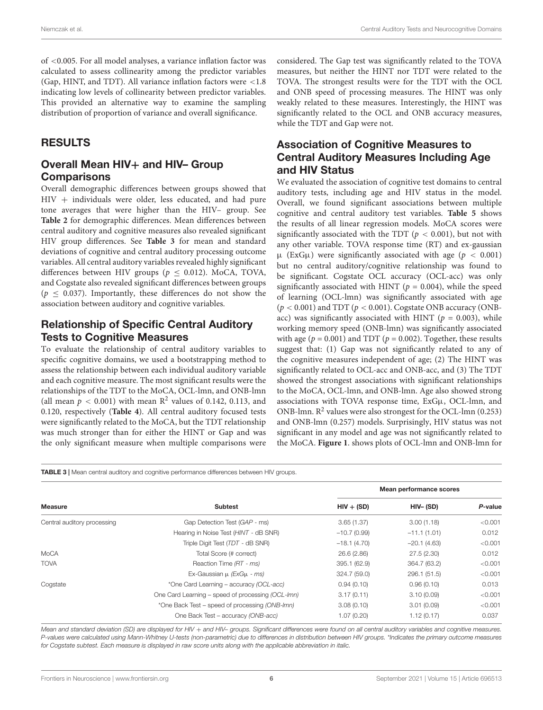of <0.005. For all model analyses, a variance inflation factor was calculated to assess collinearity among the predictor variables (Gap, HINT, and TDT). All variance inflation factors were <1.8 indicating low levels of collinearity between predictor variables. This provided an alternative way to examine the sampling distribution of proportion of variance and overall significance.

## RESULTS

## Overall Mean HIV+ and HIV- Group **Comparisons**

Overall demographic differences between groups showed that HIV + individuals were older, less educated, and had pure tone averages that were higher than the HIV– group. See **[Table 2](#page-6-1)** for demographic differences. Mean differences between central auditory and cognitive measures also revealed significant HIV group differences. See **[Table 3](#page-7-0)** for mean and standard deviations of cognitive and central auditory processing outcome variables. All central auditory variables revealed highly significant differences between HIV groups ( $p \leq 0.012$ ). MoCA, TOVA, and Cogstate also revealed significant differences between groups  $(p < 0.037)$ . Importantly, these differences do not show the association between auditory and cognitive variables.

#### Relationship of Specific Central Auditory Tests to Cognitive Measures

To evaluate the relationship of central auditory variables to specific cognitive domains, we used a bootstrapping method to assess the relationship between each individual auditory variable and each cognitive measure. The most significant results were the relationships of the TDT to the MoCA, OCL-lmn, and ONB-lmn (all mean  $p < 0.001$ ) with mean  $\mathbb{R}^2$  values of 0.142, 0.113, and 0.120, respectively (**[Table 4](#page-8-0)**). All central auditory focused tests were significantly related to the MoCA, but the TDT relationship was much stronger than for either the HINT or Gap and was the only significant measure when multiple comparisons were

considered. The Gap test was significantly related to the TOVA measures, but neither the HINT nor TDT were related to the TOVA. The strongest results were for the TDT with the OCL and ONB speed of processing measures. The HINT was only weakly related to these measures. Interestingly, the HINT was significantly related to the OCL and ONB accuracy measures, while the TDT and Gap were not.

## Association of Cognitive Measures to Central Auditory Measures Including Age and HIV Status

We evaluated the association of cognitive test domains to central auditory tests, including age and HIV status in the model. Overall, we found significant associations between multiple cognitive and central auditory test variables. **[Table 5](#page-9-0)** shows the results of all linear regression models. MoCA scores were significantly associated with the TDT ( $p < 0.001$ ), but not with any other variable. TOVA response time (RT) and ex-gaussian  $\mu$  (ExG $\mu$ ) were significantly associated with age ( $p < 0.001$ ) but no central auditory/cognitive relationship was found to be significant. Cogstate OCL accuracy (OCL-acc) was only significantly associated with HINT ( $p = 0.004$ ), while the speed of learning (OCL-lmn) was significantly associated with age  $(p < 0.001)$  and TDT  $(p < 0.001)$ . Cogstate ONB accuracy (ONBacc) was significantly associated with HINT ( $p = 0.003$ ), while working memory speed (ONB-lmn) was significantly associated with age ( $p = 0.001$ ) and TDT ( $p = 0.002$ ). Together, these results suggest that: (1) Gap was not significantly related to any of the cognitive measures independent of age; (2) The HINT was significantly related to OCL-acc and ONB-acc, and (3) The TDT showed the strongest associations with significant relationships to the MoCA, OCL-lmn, and ONB-lmn. Age also showed strong associations with TOVA response time, ExGµ, OCL-lmn, and ONB-lmn.  $R^2$  values were also strongest for the OCL-lmn (0.253) and ONB-lmn (0.257) models. Surprisingly, HIV status was not significant in any model and age was not significantly related to the MoCA. **[Figure 1](#page-10-0)**. shows plots of OCL-lmn and ONB-lmn for

<span id="page-7-0"></span>TABLE 3 | Mean central auditory and cognitive performance differences between HIV groups.

|                             |                                                   | Mean performance scores |               |         |  |
|-----------------------------|---------------------------------------------------|-------------------------|---------------|---------|--|
| <b>Measure</b>              | <b>Subtest</b>                                    | $HIV + (SD)$            | HIV- (SD)     | P-value |  |
| Central auditory processing | Gap Detection Test (GAP - ms)                     | 3.65(1.37)              | 3.00(1.18)    | < 0.001 |  |
|                             | Hearing in Noise Test (HINT - dB SNR)             | $-10.7(0.99)$           | $-11.1(1.01)$ | 0.012   |  |
|                             | Triple Digit Test (TDT - dB SNR)                  | $-18.1(4.70)$           | $-20.1(4.63)$ | < 0.001 |  |
| MoCA                        | Total Score (# correct)                           | 26.6 (2.86)             | 27.5 (2.30)   | 0.012   |  |
| <b>TOVA</b>                 | Reaction Time (RT - ms)                           | 395.1 (62.9)            | 364.7 (63.2)  | < 0.001 |  |
|                             | Ex-Gaussian $\mu$ (ExG $\mu$ - ms)                | 324.7 (59.0)            | 296.1 (51.5)  | < 0.001 |  |
| Cogstate                    | *One Card Learning - accuracy (OCL-acc)           | 0.94(0.10)              | 0.96(0.10)    | 0.013   |  |
|                             | One Card Learning – speed of processing (OCL-Imn) | 3.17(0.11)              | 3.10(0.09)    | < 0.001 |  |
|                             | *One Back Test – speed of processing (ONB-Imn)    | 3.08(0.10)              | 3.01(0.09)    | < 0.001 |  |
|                             | One Back Test - accuracy (ONB-acc)                | 1.07(0.20)              | 1.12(0.17)    | 0.037   |  |

Mean and standard deviation (SD) are displayed for HIV + and HIV- groups. Significant differences were found on all central auditory variables and cognitive measures. P-values were calculated using Mann-Whitney U-tests (non-parametric) due to differences in distribution between HIV groups. \*Indicates the primary outcome measures for Cogstate subtest. Each measure is displayed in raw score units along with the applicable abbreviation in italic.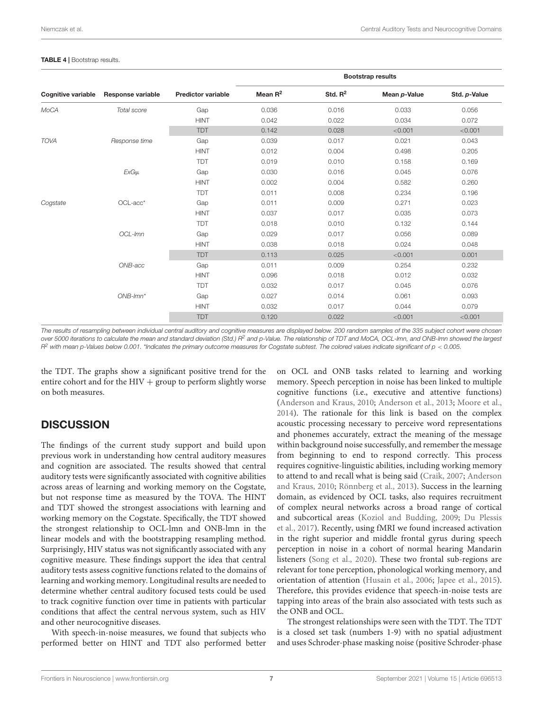#### <span id="page-8-0"></span>TABLE 4 | Bootstrap results.

|                           |                   |                           | <b>Bootstrap results</b> |            |              |              |
|---------------------------|-------------------|---------------------------|--------------------------|------------|--------------|--------------|
| <b>Cognitive variable</b> | Response variable | <b>Predictor variable</b> | Mean $R^2$               | Std. $R^2$ | Mean p-Value | Std. p-Value |
| MoCA                      | Total score       | Gap                       | 0.036                    | 0.016      | 0.033        | 0.056        |
|                           |                   | <b>HINT</b>               | 0.042                    | 0.022      | 0.034        | 0.072        |
|                           |                   | <b>TDT</b>                | 0.142                    | 0.028      | < 0.001      | < 0.001      |
| <b>TOVA</b>               | Response time     | Gap                       | 0.039                    | 0.017      | 0.021        | 0.043        |
|                           |                   | <b>HINT</b>               | 0.012                    | 0.004      | 0.498        | 0.205        |
|                           |                   | <b>TDT</b>                | 0.019                    | 0.010      | 0.158        | 0.169        |
|                           | $ExG\mu$          | Gap                       | 0.030                    | 0.016      | 0.045        | 0.076        |
|                           |                   | <b>HINT</b>               | 0.002                    | 0.004      | 0.582        | 0.260        |
|                           |                   | <b>TDT</b>                | 0.011                    | 0.008      | 0.234        | 0.196        |
| Cogstate                  | OCL-acc*          | Gap                       | 0.011                    | 0.009      | 0.271        | 0.023        |
|                           |                   | <b>HINT</b>               | 0.037                    | 0.017      | 0.035        | 0.073        |
|                           |                   | <b>TDT</b>                | 0.018                    | 0.010      | 0.132        | 0.144        |
|                           | OCL-Imn           | Gap                       | 0.029                    | 0.017      | 0.056        | 0.089        |
|                           |                   | <b>HINT</b>               | 0.038                    | 0.018      | 0.024        | 0.048        |
|                           |                   | <b>TDT</b>                | 0.113                    | 0.025      | < 0.001      | 0.001        |
|                           | ONB-acc           | Gap                       | 0.011                    | 0.009      | 0.254        | 0.232        |
|                           |                   | <b>HINT</b>               | 0.096                    | 0.018      | 0.012        | 0.032        |
|                           |                   | <b>TDT</b>                | 0.032                    | 0.017      | 0.045        | 0.076        |
|                           | $ONB$ - $lmn^*$   | Gap                       | 0.027                    | 0.014      | 0.061        | 0.093        |
|                           |                   | <b>HINT</b>               | 0.032                    | 0.017      | 0.044        | 0.079        |
|                           |                   | <b>TDT</b>                | 0.120                    | 0.022      | < 0.001      | < 0.001      |

The results of resampling between individual central auditory and cognitive measures are displayed below. 200 random samples of the 335 subject cohort were chosen over 5000 iterations to calculate the mean and standard deviation (Std.) R<sup>2</sup> and p-Value. The relationship of TDT and MoCA, OCL-lmn, and ONB-lmn showed the largest  $R^2$  with mean p-Values below 0.001. \*Indicates the primary outcome measures for Cogstate subtest. The colored values indicate significant of  $p < 0.005$ .

the TDT. The graphs show a significant positive trend for the entire cohort and for the  $HIV +$  group to perform slightly worse on both measures.

#### **DISCUSSION**

The findings of the current study support and build upon previous work in understanding how central auditory measures and cognition are associated. The results showed that central auditory tests were significantly associated with cognitive abilities across areas of learning and working memory on the Cogstate, but not response time as measured by the TOVA. The HINT and TDT showed the strongest associations with learning and working memory on the Cogstate. Specifically, the TDT showed the strongest relationship to OCL-lmn and ONB-lmn in the linear models and with the bootstrapping resampling method. Surprisingly, HIV status was not significantly associated with any cognitive measure. These findings support the idea that central auditory tests assess cognitive functions related to the domains of learning and working memory. Longitudinal results are needed to determine whether central auditory focused tests could be used to track cognitive function over time in patients with particular conditions that affect the central nervous system, such as HIV and other neurocognitive diseases.

With speech-in-noise measures, we found that subjects who performed better on HINT and TDT also performed better on OCL and ONB tasks related to learning and working memory. Speech perception in noise has been linked to multiple cognitive functions (i.e., executive and attentive functions) [\(Anderson and Kraus,](#page-12-1) [2010;](#page-12-1) [Anderson et al.,](#page-12-8) [2013;](#page-12-8) [Moore et al.,](#page-13-23) [2014\)](#page-13-23). The rationale for this link is based on the complex acoustic processing necessary to perceive word representations and phonemes accurately, extract the meaning of the message within background noise successfully, and remember the message from beginning to end to respond correctly. This process requires cognitive-linguistic abilities, including working memory to attend to and recall what is being said [\(Craik,](#page-12-24) [2007;](#page-12-24) [Anderson](#page-12-1) [and Kraus,](#page-12-1) [2010;](#page-12-1) [Rönnberg et al.,](#page-13-24) [2013\)](#page-13-24). Success in the learning domain, as evidenced by OCL tasks, also requires recruitment of complex neural networks across a broad range of cortical and subcortical areas [\(Koziol and Budding,](#page-13-25) [2009;](#page-13-25) [Du Plessis](#page-12-25) [et al.,](#page-12-25) [2017\)](#page-12-25). Recently, using fMRI we found increased activation in the right superior and middle frontal gyrus during speech perception in noise in a cohort of normal hearing Mandarin listeners [\(Song et al.,](#page-13-7) [2020\)](#page-13-7). These two frontal sub-regions are relevant for tone perception, phonological working memory, and orientation of attention [\(Husain et al.,](#page-13-26) [2006;](#page-13-26) [Japee et al.,](#page-13-27) [2015\)](#page-13-27). Therefore, this provides evidence that speech-in-noise tests are tapping into areas of the brain also associated with tests such as the ONB and OCL.

The strongest relationships were seen with the TDT. The TDT is a closed set task (numbers 1-9) with no spatial adjustment and uses Schroder-phase masking noise (positive Schroder-phase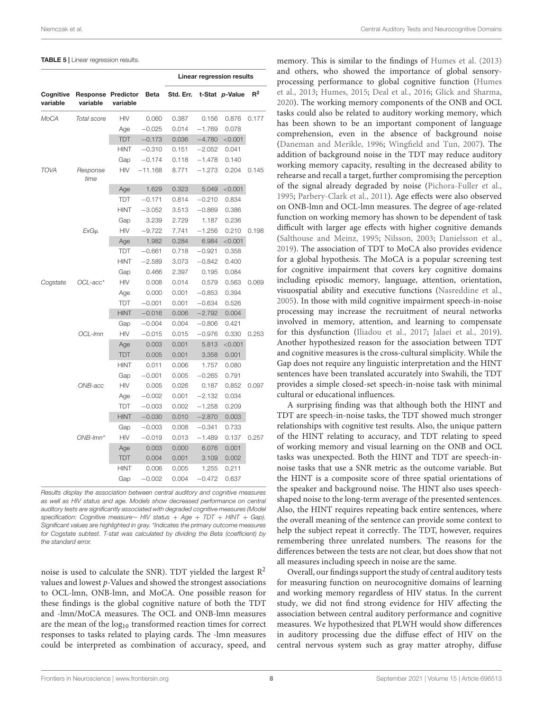#### <span id="page-9-0"></span>TABLE 5 | Linear regression results.

|                       |                                       |             |           | Linear regression results |          |                |       |
|-----------------------|---------------------------------------|-------------|-----------|---------------------------|----------|----------------|-------|
| Cognitive<br>variable | <b>Response Predictor</b><br>variable | variable    | Beta      | Std. Err.                 |          | t-Stat p-Value | $R^2$ |
| MoCA                  | Total score                           | <b>HIV</b>  | 0.060     | 0.387                     | 0.156    | 0.876          | 0.177 |
|                       |                                       | Age         | $-0.025$  | 0.014                     | $-1.769$ | 0.078          |       |
|                       |                                       | <b>TDT</b>  | $-0.173$  | 0.036                     | $-4.780$ | < 0.001        |       |
|                       |                                       | HINT        | $-0.310$  | 0.151                     | $-2.052$ | 0.041          |       |
|                       |                                       | Gap         | $-0.174$  | 0.118                     | $-1.478$ | 0.140          |       |
| <b>TOVA</b>           | Response<br>time                      | HIV         | $-11.168$ | 8.771                     | $-1.273$ | 0.204          | 0.145 |
|                       |                                       | Age         | 1.629     | 0.323                     | 5.049    | < 0.001        |       |
|                       |                                       | TDT         | $-0.171$  | 0.814                     | $-0.210$ | 0.834          |       |
|                       |                                       | <b>HINT</b> | $-3.052$  | 3.513                     | $-0.869$ | 0.386          |       |
|                       |                                       | Gap         | 3.239     | 2.729                     | 1.187    | 0.236          |       |
|                       | ExGu                                  | HIV         | $-9.722$  | 7.741                     | $-1.256$ | 0.210          | 0.198 |
|                       |                                       | Age         | 1.982     | 0.284                     | 6.984    | < 0.001        |       |
|                       |                                       | TDT         | $-0.661$  | 0.718                     | $-0.921$ | 0.358          |       |
|                       |                                       | <b>HINT</b> | $-2.589$  | 3.073                     | $-0.842$ | 0.400          |       |
|                       |                                       | Gap         | 0.466     | 2.397                     | 0.195    | 0.084          |       |
| Cogstate              | OCL-acc*                              | HIV         | 0.008     | 0.014                     | 0.579    | 0.563          | 0.069 |
|                       |                                       | Age         | 0.000     | 0.001                     | $-0.853$ | 0.394          |       |
|                       |                                       | TDT         | $-0.001$  | 0.001                     | $-0.634$ | 0.526          |       |
|                       |                                       | <b>HINT</b> | $-0.016$  | 0.006                     | $-2.792$ | 0.004          |       |
|                       |                                       | Gap         | $-0.004$  | 0.004                     | $-0.806$ | 0.421          |       |
|                       | OCL-Imn                               | HIV         | $-0.015$  | 0.015                     | $-0.976$ | 0.330          | 0.253 |
|                       |                                       | Age         | 0.003     | 0.001                     | 5.813    | < 0.001        |       |
|                       |                                       | <b>TDT</b>  | 0.005     | 0.001                     | 3.358    | 0.001          |       |
|                       |                                       | <b>HINT</b> | 0.011     | 0.006                     | 1.757    | 0.080          |       |
|                       |                                       | Gap         | $-0.001$  | 0.005                     | $-0.265$ | 0.791          |       |
|                       | ONB-acc                               | HIV         | 0.005     | 0.026                     | 0.187    | 0.852          | 0.097 |
|                       |                                       | Age         | $-0.002$  | 0.001                     | $-2.132$ | 0.034          |       |
|                       |                                       | <b>TDT</b>  | $-0.003$  | 0.002                     | $-1.258$ | 0.209          |       |
|                       |                                       | <b>HINT</b> | $-0.030$  | 0.010                     | $-2.870$ | 0.003          |       |
|                       |                                       | Gap         | $-0.003$  | 0.008                     | $-0.341$ | 0.733          |       |
|                       | $ONB-lmn*$                            | <b>HIV</b>  | $-0.019$  | 0.013                     | $-1.489$ | 0.137          | 0.257 |
|                       |                                       | Age         | 0.003     | 0.000                     | 6.076    | 0.001          |       |
|                       |                                       | <b>TDT</b>  | 0.004     | 0.001                     | 3.109    | 0.002          |       |
|                       |                                       | <b>HINT</b> | 0.006     | 0.005                     | 1.255    | 0.211          |       |
|                       |                                       | Gap         | $-0.002$  | 0.004                     | $-0.472$ | 0.637          |       |

Results display the association between central auditory and cognitive measures as well as HIV status and age. Models show decreased performance on central auditory tests are significantly associated with degraded cognitive measures (Model specification: Cognitive measure~ HIV status + Age + TDT + HINT + Gap). Significant values are highlighted in gray. \*Indicates the primary outcome measures for Cogstate subtest. T-stat was calculated by dividing the Beta (coefficient) by the standard error.

noise is used to calculate the SNR). TDT yielded the largest  $R^2$ values and lowest p-Values and showed the strongest associations to OCL-lmn, ONB-lmn, and MoCA. One possible reason for these findings is the global cognitive nature of both the TDT and -lmn/MoCA measures. The OCL and ONB-lmn measures are the mean of the  $log_{10}$  transformed reaction times for correct responses to tasks related to playing cards. The -lmn measures could be interpreted as combination of accuracy, speed, and

memory. This is similar to the findings of [Humes et al.](#page-12-26) [\(2013\)](#page-12-26) and others, who showed the importance of global sensoryprocessing performance to global cognitive function [\(Humes](#page-12-26) [et al.,](#page-12-26) [2013;](#page-12-26) [Humes,](#page-12-27) [2015;](#page-12-27) [Deal et al.,](#page-12-28) [2016;](#page-12-28) [Glick and Sharma,](#page-12-29) [2020\)](#page-12-29). The working memory components of the ONB and OCL tasks could also be related to auditory working memory, which has been shown to be an important component of language comprehension, even in the absence of background noise [\(Daneman and Merikle,](#page-12-30) [1996;](#page-12-30) [Wingfield and Tun,](#page-13-28) [2007\)](#page-13-28). The addition of background noise in the TDT may reduce auditory working memory capacity, resulting in the decreased ability to rehearse and recall a target, further compromising the perception of the signal already degraded by noise [\(Pichora-Fuller et al.,](#page-13-16) [1995;](#page-13-16) [Parbery-Clark et al.,](#page-13-29) [2011\)](#page-13-29). Age effects were also observed on ONB-lmn and OCL-lmn measures. The degree of age-related function on working memory has shown to be dependent of task difficult with larger age effects with higher cognitive demands [\(Salthouse and Meinz,](#page-13-30) [1995;](#page-13-30) [Nilsson,](#page-13-31) [2003;](#page-13-31) [Danielsson et al.,](#page-12-3) [2019\)](#page-12-3). The association of TDT to MoCA also provides evidence for a global hypothesis. The MoCA is a popular screening test for cognitive impairment that covers key cognitive domains including episodic memory, language, attention, orientation, visuospatial ability and executive functions [\(Nasreddine et al.,](#page-13-32) [2005\)](#page-13-32). In those with mild cognitive impairment speech-in-noise processing may increase the recruitment of neural networks involved in memory, attention, and learning to compensate for this dysfunction [\(Iliadou et al.,](#page-13-33) [2017;](#page-13-33) [Jalaei et al.,](#page-13-34) [2019\)](#page-13-34). Another hypothesized reason for the association between TDT and cognitive measures is the cross-cultural simplicity. While the Gap does not require any linguistic interpretation and the HINT sentences have been translated accurately into Swahili, the TDT provides a simple closed-set speech-in-noise task with minimal cultural or educational influences.

A surprising finding was that although both the HINT and TDT are speech-in-noise tasks, the TDT showed much stronger relationships with cognitive test results. Also, the unique pattern of the HINT relating to accuracy, and TDT relating to speed of working memory and visual learning on the ONB and OCL tasks was unexpected. Both the HINT and TDT are speech-innoise tasks that use a SNR metric as the outcome variable. But the HINT is a composite score of three spatial orientations of the speaker and background noise. The HINT also uses speechshaped noise to the long-term average of the presented sentences. Also, the HINT requires repeating back entire sentences, where the overall meaning of the sentence can provide some context to help the subject repeat it correctly. The TDT, however, requires remembering three unrelated numbers. The reasons for the differences between the tests are not clear, but does show that not all measures including speech in noise are the same.

Overall, our findings support the study of central auditory tests for measuring function on neurocognitive domains of learning and working memory regardless of HIV status. In the current study, we did not find strong evidence for HIV affecting the association between central auditory performance and cognitive measures. We hypothesized that PLWH would show differences in auditory processing due the diffuse effect of HIV on the central nervous system such as gray matter atrophy, diffuse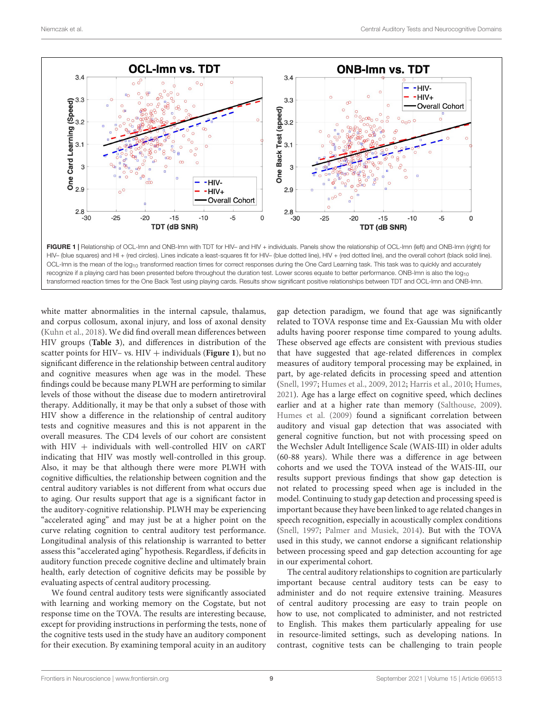

<span id="page-10-0"></span>FIGURE 1 | Relationship of OCL-lmn and ONB-lmn with TDT for HIV- and HIV + individuals. Panels show the relationship of OCL-lmn (left) and ONB-lmn (right) for HIV– (blue squares) and HI + (red circles). Lines indicate a least-squares fit for HIV– (blue dotted line), HIV + (red dotted line), and the overall cohort (black solid line). OCL-Imn is the mean of the log<sub>10</sub> transformed reaction times for correct responses during the One Card Learning task. This task was to quickly and accurately recognize if a playing card has been presented before throughout the duration test. Lower scores equate to better performance. ONB-lmn is also the  $log_{10}$ transformed reaction times for the One Back Test using playing cards. Results show significant positive relationships between TDT and OCL-lmn and ONB-lmn.

white matter abnormalities in the internal capsule, thalamus, and corpus collosum, axonal injury, and loss of axonal density [\(Kuhn et al.,](#page-13-11) [2018\)](#page-13-11). We did find overall mean differences between HIV groups (**[Table 3](#page-7-0)**), and differences in distribution of the scatter points for HIV– vs. HIV + individuals ([Figure 1](#page-10-0)), but no significant difference in the relationship between central auditory and cognitive measures when age was in the model. These findings could be because many PLWH are performing to similar levels of those without the disease due to modern antiretroviral therapy. Additionally, it may be that only a subset of those with HIV show a difference in the relationship of central auditory tests and cognitive measures and this is not apparent in the overall measures. The CD4 levels of our cohort are consistent with  $HIV +$  individuals with well-controlled  $HIV$  on  $cART$ indicating that HIV was mostly well-controlled in this group. Also, it may be that although there were more PLWH with cognitive difficulties, the relationship between cognition and the central auditory variables is not different from what occurs due to aging. Our results support that age is a significant factor in the auditory-cognitive relationship. PLWH may be experiencing "accelerated aging" and may just be at a higher point on the curve relating cognition to central auditory test performance. Longitudinal analysis of this relationship is warranted to better assess this "accelerated aging" hypothesis. Regardless, if deficits in auditory function precede cognitive decline and ultimately brain health, early detection of cognitive deficits may be possible by evaluating aspects of central auditory processing.

We found central auditory tests were significantly associated with learning and working memory on the Cogstate, but not response time on the TOVA. The results are interesting because, except for providing instructions in performing the tests, none of the cognitive tests used in the study have an auditory component for their execution. By examining temporal acuity in an auditory

gap detection paradigm, we found that age was significantly related to TOVA response time and Ex-Gaussian Mu with older adults having poorer response time compared to young adults. These observed age effects are consistent with previous studies that have suggested that age-related differences in complex measures of auditory temporal processing may be explained, in part, by age-related deficits in processing speed and attention [\(Snell,](#page-13-35) [1997;](#page-13-35) [Humes et al.,](#page-12-31) [2009,](#page-12-31) [2012;](#page-12-23) [Harris et al.,](#page-12-14) [2010;](#page-12-14) [Humes,](#page-12-5) [2021\)](#page-12-5). Age has a large effect on cognitive speed, which declines earlier and at a higher rate than memory [\(Salthouse,](#page-13-36) [2009\)](#page-13-36). [Humes et al.](#page-12-31) [\(2009\)](#page-12-31) found a significant correlation between auditory and visual gap detection that was associated with general cognitive function, but not with processing speed on the Wechsler Adult Intelligence Scale (WAIS-III) in older adults (60-88 years). While there was a difference in age between cohorts and we used the TOVA instead of the WAIS-III, our results support previous findings that show gap detection is not related to processing speed when age is included in the model. Continuing to study gap detection and processing speed is important because they have been linked to age related changes in speech recognition, especially in acoustically complex conditions [\(Snell,](#page-13-35) [1997;](#page-13-35) [Palmer and Musiek,](#page-13-5) [2014\)](#page-13-5). But with the TOVA used in this study, we cannot endorse a significant relationship between processing speed and gap detection accounting for age in our experimental cohort.

The central auditory relationships to cognition are particularly important because central auditory tests can be easy to administer and do not require extensive training. Measures of central auditory processing are easy to train people on how to use, not complicated to administer, and not restricted to English. This makes them particularly appealing for use in resource-limited settings, such as developing nations. In contrast, cognitive tests can be challenging to train people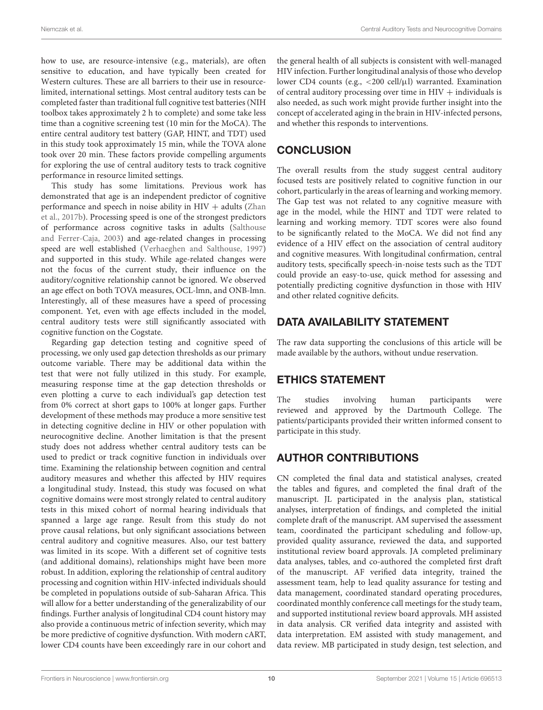how to use, are resource-intensive (e.g., materials), are often sensitive to education, and have typically been created for Western cultures. These are all barriers to their use in resourcelimited, international settings. Most central auditory tests can be completed faster than traditional full cognitive test batteries (NIH toolbox takes approximately 2 h to complete) and some take less time than a cognitive screening test (10 min for the MoCA). The entire central auditory test battery (GAP, HINT, and TDT) used in this study took approximately 15 min, while the TOVA alone took over 20 min. These factors provide compelling arguments for exploring the use of central auditory tests to track cognitive performance in resource limited settings.

This study has some limitations. Previous work has demonstrated that age is an independent predictor of cognitive performance and speech in noise ability in  $HIV +$  adults [\(Zhan](#page-14-0) [et al.,](#page-14-0) [2017b\)](#page-14-0). Processing speed is one of the strongest predictors of performance across cognitive tasks in adults [\(Salthouse](#page-13-37) [and Ferrer-Caja,](#page-13-37) [2003\)](#page-13-37) and age-related changes in processing speed are well established [\(Verhaeghen and Salthouse,](#page-13-38) [1997\)](#page-13-38) and supported in this study. While age-related changes were not the focus of the current study, their influence on the auditory/cognitive relationship cannot be ignored. We observed an age effect on both TOVA measures, OCL-lmn, and ONB-lmn. Interestingly, all of these measures have a speed of processing component. Yet, even with age effects included in the model, central auditory tests were still significantly associated with cognitive function on the Cogstate.

Regarding gap detection testing and cognitive speed of processing, we only used gap detection thresholds as our primary outcome variable. There may be additional data within the test that were not fully utilized in this study. For example, measuring response time at the gap detection thresholds or even plotting a curve to each individual's gap detection test from 0% correct at short gaps to 100% at longer gaps. Further development of these methods may produce a more sensitive test in detecting cognitive decline in HIV or other population with neurocognitive decline. Another limitation is that the present study does not address whether central auditory tests can be used to predict or track cognitive function in individuals over time. Examining the relationship between cognition and central auditory measures and whether this affected by HIV requires a longitudinal study. Instead, this study was focused on what cognitive domains were most strongly related to central auditory tests in this mixed cohort of normal hearing individuals that spanned a large age range. Result from this study do not prove causal relations, but only significant associations between central auditory and cognitive measures. Also, our test battery was limited in its scope. With a different set of cognitive tests (and additional domains), relationships might have been more robust. In addition, exploring the relationship of central auditory processing and cognition within HIV-infected individuals should be completed in populations outside of sub-Saharan Africa. This will allow for a better understanding of the generalizability of our findings. Further analysis of longitudinal CD4 count history may also provide a continuous metric of infection severity, which may be more predictive of cognitive dysfunction. With modern cART, lower CD4 counts have been exceedingly rare in our cohort and

the general health of all subjects is consistent with well-managed HIV infection. Further longitudinal analysis of those who develop lower CD4 counts (e.g., <200 cell/µl) warranted. Examination of central auditory processing over time in  $HIV +$  individuals is also needed, as such work might provide further insight into the concept of accelerated aging in the brain in HIV-infected persons, and whether this responds to interventions.

# **CONCLUSION**

The overall results from the study suggest central auditory focused tests are positively related to cognitive function in our cohort, particularly in the areas of learning and working memory. The Gap test was not related to any cognitive measure with age in the model, while the HINT and TDT were related to learning and working memory. TDT scores were also found to be significantly related to the MoCA. We did not find any evidence of a HIV effect on the association of central auditory and cognitive measures. With longitudinal confirmation, central auditory tests, specifically speech-in-noise tests such as the TDT could provide an easy-to-use, quick method for assessing and potentially predicting cognitive dysfunction in those with HIV and other related cognitive deficits.

## DATA AVAILABILITY STATEMENT

The raw data supporting the conclusions of this article will be made available by the authors, without undue reservation.

# ETHICS STATEMENT

The studies involving human participants were reviewed and approved by the Dartmouth College. The patients/participants provided their written informed consent to participate in this study.

# AUTHOR CONTRIBUTIONS

CN completed the final data and statistical analyses, created the tables and figures, and completed the final draft of the manuscript. JL participated in the analysis plan, statistical analyses, interpretation of findings, and completed the initial complete draft of the manuscript. AM supervised the assessment team, coordinated the participant scheduling and follow-up, provided quality assurance, reviewed the data, and supported institutional review board approvals. JA completed preliminary data analyses, tables, and co-authored the completed first draft of the manuscript. AF verified data integrity, trained the assessment team, help to lead quality assurance for testing and data management, coordinated standard operating procedures, coordinated monthly conference call meetings for the study team, and supported institutional review board approvals. MH assisted in data analysis. CR verified data integrity and assisted with data interpretation. EM assisted with study management, and data review. MB participated in study design, test selection, and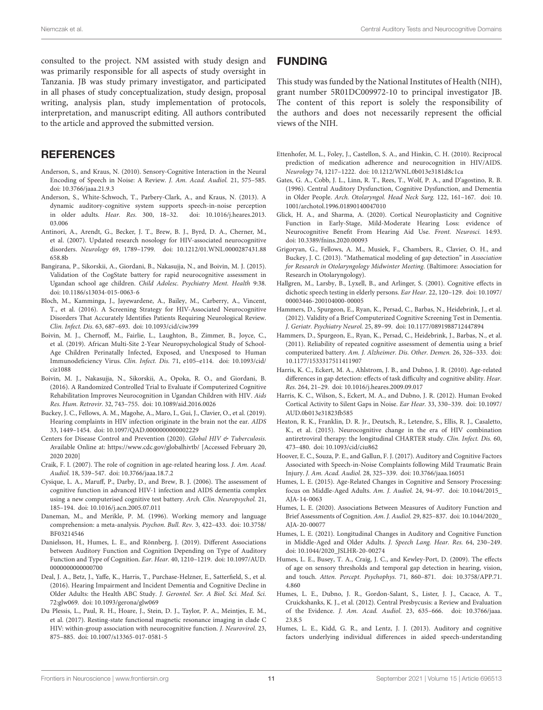consulted to the project. NM assisted with study design and was primarily responsible for all aspects of study oversight in Tanzania. JB was study primary investigator, and participated in all phases of study conceptualization, study design, proposal writing, analysis plan, study implementation of protocols, interpretation, and manuscript editing. All authors contributed to the article and approved the submitted version.

#### **REFERENCES**

- <span id="page-12-1"></span>Anderson, S., and Kraus, N. (2010). Sensory-Cognitive Interaction in the Neural Encoding of Speech in Noise: A Review. J. Am. Acad. Audiol. 21, 575–585. [doi: 10.3766/jaaa.21.9.3](https://doi.org/10.3766/jaaa.21.9.3)
- <span id="page-12-8"></span>Anderson, S., White-Schwoch, T., Parbery-Clark, A., and Kraus, N. (2013). A dynamic auditory-cognitive system supports speech-in-noise perception in older adults. Hear. Res. 300, 18–32. [doi: 10.1016/j.heares.2013.](https://doi.org/10.1016/j.heares.2013.03.006) [03.006](https://doi.org/10.1016/j.heares.2013.03.006)
- <span id="page-12-13"></span>Antinori, A., Arendt, G., Becker, J. T., Brew, B. J., Byrd, D. A., Cherner, M., et al. (2007). Updated research nosology for HIV-associated neurocognitive disorders. Neurology 69, 1789–1799. [doi: 10.1212/01.WNL.0000287431.88](https://doi.org/10.1212/01.WNL.0000287431.88658.8b) [658.8b](https://doi.org/10.1212/01.WNL.0000287431.88658.8b)
- <span id="page-12-21"></span>Bangirana, P., Sikorskii, A., Giordani, B., Nakasujja, N., and Boivin, M. J. (2015). Validation of the CogState battery for rapid neurocognitive assessment in Ugandan school age children. Child Adolesc. Psychiatry Ment. Health 9:38. [doi: 10.1186/s13034-015-0063-6](https://doi.org/10.1186/s13034-015-0063-6)
- <span id="page-12-17"></span>Bloch, M., Kamminga, J., Jayewardene, A., Bailey, M., Carberry, A., Vincent, T., et al. (2016). A Screening Strategy for HIV-Associated Neurocognitive Disorders That Accurately Identifies Patients Requiring Neurological Review. Clin. Infect. Dis. 63, 687–693. [doi: 10.1093/cid/ciw399](https://doi.org/10.1093/cid/ciw399)
- <span id="page-12-22"></span>Boivin, M. J., Chernoff, M., Fairlie, L., Laughton, B., Zimmer, B., Joyce, C., et al. (2019). African Multi-Site 2-Year Neuropsychological Study of School-Age Children Perinatally Infected, Exposed, and Unexposed to Human Immunodeficiency Virus. Clin. Infect. Dis. 71, e105–e114. [doi: 10.1093/cid/](https://doi.org/10.1093/cid/ciz1088) [ciz1088](https://doi.org/10.1093/cid/ciz1088)
- <span id="page-12-20"></span>Boivin, M. J., Nakasujja, N., Sikorskii, A., Opoka, R. O., and Giordani, B. (2016). A Randomized Controlled Trial to Evaluate if Computerized Cognitive Rehabilitation Improves Neurocognition in Ugandan Children with HIV. Aids Res. Hum. Retrovir. 32, 743–755. [doi: 10.1089/aid.2016.0026](https://doi.org/10.1089/aid.2016.0026)
- <span id="page-12-7"></span>Buckey, J. C., Fellows, A. M., Magohe, A., Maro, I., Gui, J., Clavier, O., et al. (2019). Hearing complaints in HIV infection originate in the brain not the ear. AIDS 33, 1449–1454. [doi: 10.1097/QAD.0000000000002229](https://doi.org/10.1097/QAD.0000000000002229)
- <span id="page-12-10"></span>Centers for Disease Control and Prevention (2020). Global HIV & Tuberculosis. Available Online at: <https://www.cdc.gov/globalhivtb/> [Accessed February 20, 2020 2020]
- <span id="page-12-24"></span>Craik, F. I. (2007). The role of cognition in age-related hearing loss. J. Am. Acad. Audiol. 18, 539–547. [doi: 10.3766/jaaa.18.7.2](https://doi.org/10.3766/jaaa.18.7.2)
- <span id="page-12-16"></span>Cysique, L. A., Maruff, P., Darby, D., and Brew, B. J. (2006). The assessment of cognitive function in advanced HIV-1 infection and AIDS dementia complex using a new computerised cognitive test battery. Arch. Clin. Neuropsychol. 21, 185–194. [doi: 10.1016/j.acn.2005.07.011](https://doi.org/10.1016/j.acn.2005.07.011)
- <span id="page-12-30"></span>Daneman, M., and Merikle, P. M. (1996). Working memory and language comprehension: a meta-analysis. Psychon. Bull. Rev. 3, 422–433. [doi: 10.3758/](https://doi.org/10.3758/BF03214546) [BF03214546](https://doi.org/10.3758/BF03214546)
- <span id="page-12-3"></span>Danielsson, H., Humes, L. E., and Rönnberg, J. (2019). Different Associations between Auditory Function and Cognition Depending on Type of Auditory Function and Type of Cognition. Ear. Hear. 40, 1210–1219. [doi: 10.1097/AUD.](https://doi.org/10.1097/AUD.0000000000000700) [0000000000000700](https://doi.org/10.1097/AUD.0000000000000700)
- <span id="page-12-28"></span>Deal, J. A., Betz, J., Yaffe, K., Harris, T., Purchase-Helzner, E., Satterfield, S., et al. (2016). Hearing Impairment and Incident Dementia and Cognitive Decline in Older Adults: the Health ABC Study. J. Gerontol. Ser. A Biol. Sci. Med. Sci. 72:glw069. [doi: 10.1093/gerona/glw069](https://doi.org/10.1093/gerona/glw069)
- <span id="page-12-25"></span>Du Plessis, L., Paul, R. H., Hoare, J., Stein, D. J., Taylor, P. A., Meintjes, E. M., et al. (2017). Resting-state functional magnetic resonance imaging in clade C HIV: within-group association with neurocognitive function. J. Neurovirol. 23, 875–885. [doi: 10.1007/s13365-017-0581-5](https://doi.org/10.1007/s13365-017-0581-5)

#### FUNDING

This study was funded by the National Institutes of Health (NIH), grant number 5R01DC009972-10 to principal investigator JB. The content of this report is solely the responsibility of the authors and does not necessarily represent the official views of the NIH.

- <span id="page-12-12"></span>Ettenhofer, M. L., Foley, J., Castellon, S. A., and Hinkin, C. H. (2010). Reciprocal prediction of medication adherence and neurocognition in HIV/AIDS. Neurology 74, 1217–1222. [doi: 10.1212/WNL.0b013e3181d8c1ca](https://doi.org/10.1212/WNL.0b013e3181d8c1ca)
- <span id="page-12-6"></span>Gates, G. A., Cobb, J. L., Linn, R. T., Rees, T., Wolf, P. A., and D'agostino, R. B. (1996). Central Auditory Dysfunction, Cognitive Dysfunction, and Dementia in Older People. Arch. Otolaryngol. Head Neck Surg. 122, 161–167. [doi: 10.](https://doi.org/10.1001/archotol.1996.01890140047010) [1001/archotol.1996.01890140047010](https://doi.org/10.1001/archotol.1996.01890140047010)
- <span id="page-12-29"></span>Glick, H. A., and Sharma, A. (2020). Cortical Neuroplasticity and Cognitive Function in Early-Stage, Mild-Moderate Hearing Loss: evidence of Neurocognitive Benefit From Hearing Aid Use. Front. Neurosci. 14:93. [doi: 10.3389/fnins.2020.00093](https://doi.org/10.3389/fnins.2020.00093)
- <span id="page-12-15"></span>Grigoryan, G., Fellows, A. M., Musiek, F., Chambers, R., Clavier, O. H., and Buckey, J. C. (2013). "Mathematical modeling of gap detection" in Association for Research in Otolaryngology Midwinter Meeting. (Baltimore: Association for Research in Otolaryngology).
- <span id="page-12-0"></span>Hallgren, M., Larsby, B., Lyxell, B., and Arlinger, S. (2001). Cognitive effects in dichotic speech testing in elderly persons. Ear Hear. 22, 120–129. [doi: 10.1097/](https://doi.org/10.1097/00003446-200104000-00005) [00003446-200104000-00005](https://doi.org/10.1097/00003446-200104000-00005)
- <span id="page-12-19"></span>Hammers, D., Spurgeon, E., Ryan, K., Persad, C., Barbas, N., Heidebrink, J., et al. (2012). Validity of a Brief Computerized Cognitive Screening Test in Dementia. J. Geriatr. Psychiatry Neurol. 25, 89–99. [doi: 10.1177/0891988712447894](https://doi.org/10.1177/0891988712447894)
- <span id="page-12-18"></span>Hammers, D., Spurgeon, E., Ryan, K., Persad, C., Heidebrink, J., Barbas, N., et al. (2011). Reliability of repeated cognitive assessment of dementia using a brief computerized battery. Am. J. Alzheimer. Dis. Other. Demen. 26, 326–333. [doi:](https://doi.org/10.1177/1533317511411907) [10.1177/1533317511411907](https://doi.org/10.1177/1533317511411907)
- <span id="page-12-14"></span>Harris, K. C., Eckert, M. A., Ahlstrom, J. B., and Dubno, J. R. (2010). Age-related differences in gap detection: effects of task difficulty and cognitive ability. Hear. Res. 264, 21–29. [doi: 10.1016/j.heares.2009.09.017](https://doi.org/10.1016/j.heares.2009.09.017)
- <span id="page-12-9"></span>Harris, K. C., Wilson, S., Eckert, M. A., and Dubno, J. R. (2012). Human Evoked Cortical Activity to Silent Gaps in Noise. Ear Hear. 33, 330–339. [doi: 10.1097/](https://doi.org/10.1097/AUD.0b013e31823fb585) [AUD.0b013e31823fb585](https://doi.org/10.1097/AUD.0b013e31823fb585)
- <span id="page-12-11"></span>Heaton, R. K., Franklin, D. R. Jr., Deutsch, R., Letendre, S., Ellis, R. J., Casaletto, K., et al. (2015). Neurocognitive change in the era of HIV combination antiretroviral therapy: the longitudinal CHARTER study. Clin. Infect. Dis. 60, 473–480. [doi: 10.1093/cid/ciu862](https://doi.org/10.1093/cid/ciu862)
- <span id="page-12-2"></span>Hoover, E. C., Souza, P. E., and Gallun, F. J. (2017). Auditory and Cognitive Factors Associated with Speech-in-Noise Complaints following Mild Traumatic Brain Injury. J. Am. Acad. Audiol. 28, 325–339. [doi: 10.3766/jaaa.16051](https://doi.org/10.3766/jaaa.16051)
- <span id="page-12-27"></span>Humes, L. E. (2015). Age-Related Changes in Cognitive and Sensory Processing: focus on Middle-Aged Adults. Am. J. Audiol. 24, 94–97. [doi: 10.1044/2015\\_](https://doi.org/10.1044/2015_AJA-14-0063) [AJA-14-0063](https://doi.org/10.1044/2015_AJA-14-0063)
- <span id="page-12-4"></span>Humes, L. E. (2020). Associations Between Measures of Auditory Function and Brief Assessments of Cognition. Am. J. Audiol. 29, 825–837. [doi: 10.1044/2020\\_](https://doi.org/10.1044/2020_AJA-20-00077) [AJA-20-00077](https://doi.org/10.1044/2020_AJA-20-00077)
- <span id="page-12-5"></span>Humes, L. E. (2021). Longitudinal Changes in Auditory and Cognitive Function in Middle-Aged and Older Adults. J. Speech Lang. Hear. Res. 64, 230–249. [doi: 10.1044/2020\\_JSLHR-20-00274](https://doi.org/10.1044/2020_JSLHR-20-00274)
- <span id="page-12-31"></span>Humes, L. E., Busey, T. A., Craig, J. C., and Kewley-Port, D. (2009). The effects of age on sensory thresholds and temporal gap detection in hearing, vision, and touch. Atten. Percept. Psychophys. 71, 860–871. [doi: 10.3758/APP.71.](https://doi.org/10.3758/APP.71.4.860) [4.860](https://doi.org/10.3758/APP.71.4.860)
- <span id="page-12-23"></span>Humes, L. E., Dubno, J. R., Gordon-Salant, S., Lister, J. J., Cacace, A. T., Cruickshanks, K. J., et al. (2012). Central Presbycusis: a Review and Evaluation of the Evidence. J. Am. Acad. Audiol. 23, 635–666. [doi: 10.3766/jaaa.](https://doi.org/10.3766/jaaa.23.8.5) [23.8.5](https://doi.org/10.3766/jaaa.23.8.5)
- <span id="page-12-26"></span>Humes, L. E., Kidd, G. R., and Lentz, J. J. (2013). Auditory and cognitive factors underlying individual differences in aided speech-understanding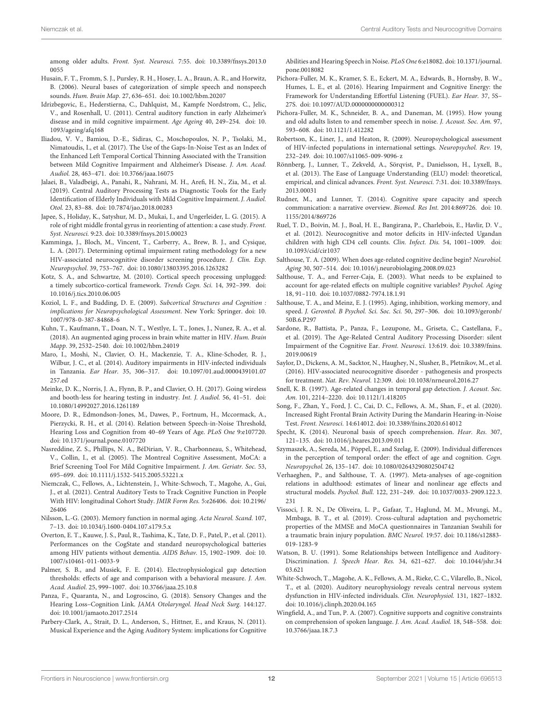among older adults. Front. Syst. Neurosci. 7:55. [doi: 10.3389/fnsys.2013.0](https://doi.org/10.3389/fnsys.2013.00055) [0055](https://doi.org/10.3389/fnsys.2013.00055)

- <span id="page-13-26"></span>Husain, F. T., Fromm, S. J., Pursley, R. H., Hosey, L. A., Braun, A. R., and Horwitz, B. (2006). Neural bases of categorization of simple speech and nonspeech sounds. Hum. Brain Map. 27, 636–651. [doi: 10.1002/hbm.20207](https://doi.org/10.1002/hbm.20207)
- <span id="page-13-2"></span>Idrizbegovic, E., Hederstierna, C., Dahlquist, M., Kampfe Nordstrom, C., Jelic, V., and Rosenhall, U. (2011). Central auditory function in early Alzheimer's disease and in mild cognitive impairment. Age Ageing 40, 249–254. [doi: 10.](https://doi.org/10.1093/ageing/afq168) [1093/ageing/afq168](https://doi.org/10.1093/ageing/afq168)
- <span id="page-13-33"></span>Iliadou, V. V., Bamiou, D.-E., Sidiras, C., Moschopoulos, N. P., Tsolaki, M., Nimatoudis, I., et al. (2017). The Use of the Gaps-In-Noise Test as an Index of the Enhanced Left Temporal Cortical Thinning Associated with the Transition between Mild Cognitive Impairment and Alzheimer's Disease. J. Am. Acad. Audiol. 28, 463–471. [doi: 10.3766/jaaa.16075](https://doi.org/10.3766/jaaa.16075)
- <span id="page-13-34"></span>Jalaei, B., Valadbeigi, A., Panahi, R., Nahrani, M. H., Arefi, H. N., Zia, M., et al. (2019). Central Auditory Processing Tests as Diagnostic Tools for the Early Identification of Elderly Individuals with Mild Cognitive Impairment. J. Audiol. Otol. 23, 83–88. [doi: 10.7874/jao.2018.00283](https://doi.org/10.7874/jao.2018.00283)
- <span id="page-13-27"></span>Japee, S., Holiday, K., Satyshur, M. D., Mukai, I., and Ungerleider, L. G. (2015). A role of right middle frontal gyrus in reorienting of attention: a case study. Front. Syst. Neurosci. 9:23. [doi: 10.3389/fnsys.2015.00023](https://doi.org/10.3389/fnsys.2015.00023)
- <span id="page-13-21"></span>Kamminga, J., Bloch, M., Vincent, T., Carberry, A., Brew, B. J., and Cysique, L. A. (2017). Determining optimal impairment rating methodology for a new HIV-associated neurocognitive disorder screening procedure. J. Clin. Exp. Neuropsychol. 39, 753–767. [doi: 10.1080/13803395.2016.1263282](https://doi.org/10.1080/13803395.2016.1263282)
- <span id="page-13-12"></span>Kotz, S. A., and Schwartze, M. (2010). Cortical speech processing unplugged: a timely subcortico-cortical framework. Trends Cogn. Sci. 14, 392–399. [doi:](https://doi.org/10.1016/j.tics.2010.06.005) [10.1016/j.tics.2010.06.005](https://doi.org/10.1016/j.tics.2010.06.005)
- <span id="page-13-25"></span>Koziol, L. F., and Budding, D. E. (2009). Subcortical Structures and Cognition : implications for Neuropsychological Assessment. New York: Springer. [doi: 10.](https://doi.org/10.1007/978-0-387-84868-6) [1007/978-0-387-84868-6](https://doi.org/10.1007/978-0-387-84868-6)
- <span id="page-13-11"></span>Kuhn, T., Kaufmann, T., Doan, N. T., Westlye, L. T., Jones, J., Nunez, R. A., et al. (2018). An augmented aging process in brain white matter in HIV. Hum. Brain Mapp. 39, 2532–2540. [doi: 10.1002/hbm.24019](https://doi.org/10.1002/hbm.24019)
- <span id="page-13-8"></span>Maro, I., Moshi, N., Clavier, O. H., Mackenzie, T. A., Kline-Schoder, R. J., Wilbur, J. C., et al. (2014). Auditory impairments in HIV-infected individuals in Tanzania. Ear Hear. 35, 306–317. [doi: 10.1097/01.aud.0000439101.07](https://doi.org/10.1097/01.aud.0000439101.07257.ed) [257.ed](https://doi.org/10.1097/01.aud.0000439101.07257.ed)
- <span id="page-13-18"></span>Meinke, D. K., Norris, J. A., Flynn, B. P., and Clavier, O. H. (2017). Going wireless and booth-less for hearing testing in industry. Int. J. Audiol. 56, 41–51. [doi:](https://doi.org/10.1080/14992027.2016.1261189) [10.1080/14992027.2016.1261189](https://doi.org/10.1080/14992027.2016.1261189)
- <span id="page-13-23"></span>Moore, D. R., Edmondson-Jones, M., Dawes, P., Fortnum, H., Mccormack, A., Pierzycki, R. H., et al. (2014). Relation between Speech-in-Noise Threshold, Hearing Loss and Cognition from 40–69 Years of Age. PLoS One 9:e107720. [doi: 10.1371/journal.pone.0107720](https://doi.org/10.1371/journal.pone.0107720)
- <span id="page-13-32"></span>Nasreddine, Z. S., Phillips, N. A., BéDirian, V. R., Charbonneau, S., Whitehead, V., Collin, I., et al. (2005). The Montreal Cognitive Assessment, MoCA: a Brief Screening Tool For Mild Cognitive Impairment. J. Am. Geriatr. Soc. 53, 695–699. [doi: 10.1111/j.1532-5415.2005.53221.x](https://doi.org/10.1111/j.1532-5415.2005.53221.x)
- <span id="page-13-4"></span>Niemczak, C., Fellows, A., Lichtenstein, J., White-Schwoch, T., Magohe, A., Gui, J., et al. (2021). Central Auditory Tests to Track Cognitive Function in People With HIV: longitudinal Cohort Study. JMIR Form Res. 5:e26406. [doi: 10.2196/](https://doi.org/10.2196/26406) [26406](https://doi.org/10.2196/26406)
- <span id="page-13-31"></span>Nilsson, L.-G. (2003). Memory function in normal aging. Acta Neurol. Scand. 107, 7–13. [doi: 10.1034/j.1600-0404.107.s179.5.x](https://doi.org/10.1034/j.1600-0404.107.s179.5.x)
- <span id="page-13-20"></span>Overton, E. T., Kauwe, J. S., Paul, R., Tashima, K., Tate, D. F., Patel, P., et al. (2011). Performances on the CogState and standard neuropsychological batteries among HIV patients without dementia. AIDS Behav. 15, 1902–1909. [doi: 10.](https://doi.org/10.1007/s10461-011-0033-9) [1007/s10461-011-0033-9](https://doi.org/10.1007/s10461-011-0033-9)
- <span id="page-13-5"></span>Palmer, S. B., and Musiek, F. E. (2014). Electrophysiological gap detection thresholds: effects of age and comparison with a behavioral measure. J. Am. Acad. Audiol. 25, 999–1007. [doi: 10.3766/jaaa.25.10.8](https://doi.org/10.3766/jaaa.25.10.8)
- <span id="page-13-1"></span>Panza, F., Quaranta, N., and Logroscino, G. (2018). Sensory Changes and the Hearing Loss–Cognition Link. JAMA Otolaryngol. Head Neck Surg. 144:127. [doi: 10.1001/jamaoto.2017.2514](https://doi.org/10.1001/jamaoto.2017.2514)
- <span id="page-13-29"></span>Parbery-Clark, A., Strait, D. L., Anderson, S., Hittner, E., and Kraus, N. (2011). Musical Experience and the Aging Auditory System: implications for Cognitive

Abilities and Hearing Speech in Noise. PLoS One 6:e18082. [doi: 10.1371/journal.](https://doi.org/10.1371/journal.pone.0018082) [pone.0018082](https://doi.org/10.1371/journal.pone.0018082)

- <span id="page-13-15"></span>Pichora-Fuller, M. K., Kramer, S. E., Eckert, M. A., Edwards, B., Hornsby, B. W., Humes, L. E., et al. (2016). Hearing Impairment and Cognitive Energy: the Framework for Understanding Effortful Listening (FUEL). Ear Hear. 37, 5S– 27S. [doi: 10.1097/AUD.0000000000000312](https://doi.org/10.1097/AUD.0000000000000312)
- <span id="page-13-16"></span>Pichora-Fuller, M. K., Schneider, B. A., and Daneman, M. (1995). How young and old adults listen to and remember speech in noise. J. Acoust. Soc. Am. 97, 593–608. [doi: 10.1121/1.412282](https://doi.org/10.1121/1.412282)
- <span id="page-13-10"></span>Robertson, K., Liner, J., and Heaton, R. (2009). Neuropsychological assessment of HIV-infected populations in international settings. Neuropsychol. Rev. 19, 232–249. [doi: 10.1007/s11065-009-9096-z](https://doi.org/10.1007/s11065-009-9096-z)
- <span id="page-13-24"></span>Rönnberg, J., Lunner, T., Zekveld, A., Sörqvist, P., Danielsson, H., Lyxell, B., et al. (2013). The Ease of Language Understanding (ELU) model: theoretical, empirical, and clinical advances. Front. Syst. Neurosci. 7:31. [doi: 10.3389/fnsys.](https://doi.org/10.3389/fnsys.2013.00031) [2013.00031](https://doi.org/10.3389/fnsys.2013.00031)
- <span id="page-13-14"></span>Rudner, M., and Lunner, T. (2014). Cognitive spare capacity and speech communication: a narrative overview. Biomed. Res Int. 2014:869726. [doi: 10.](https://doi.org/10.1155/2014/869726) [1155/2014/869726](https://doi.org/10.1155/2014/869726)
- <span id="page-13-22"></span>Ruel, T. D., Boivin, M. J., Boal, H. E., Bangirana, P., Charlebois, E., Havlir, D. V., et al. (2012). Neurocognitive and motor deficits in HIV-infected Ugandan children with high CD4 cell counts. Clin. Infect. Dis. 54, 1001–1009. [doi:](https://doi.org/10.1093/cid/cir1037) [10.1093/cid/cir1037](https://doi.org/10.1093/cid/cir1037)
- <span id="page-13-36"></span>Salthouse, T. A. (2009). When does age-related cognitive decline begin? Neurobiol. Aging 30, 507–514. [doi: 10.1016/j.neurobiolaging.2008.09.023](https://doi.org/10.1016/j.neurobiolaging.2008.09.023)
- <span id="page-13-37"></span>Salthouse, T. A., and Ferrer-Caja, E. (2003). What needs to be explained to account for age-related effects on multiple cognitive variables? Psychol. Aging 18, 91–110. [doi: 10.1037/0882-7974.18.1.91](https://doi.org/10.1037/0882-7974.18.1.91)
- <span id="page-13-30"></span>Salthouse, T. A., and Meinz, E. J. (1995). Aging, inhibition, working memory, and speed. J. Gerontol. B Psychol. Sci. Soc. Sci. 50, 297–306. [doi: 10.1093/geronb/](https://doi.org/10.1093/geronb/50B.6.P297) [50B.6.P297](https://doi.org/10.1093/geronb/50B.6.P297)
- <span id="page-13-6"></span>Sardone, R., Battista, P., Panza, F., Lozupone, M., Griseta, C., Castellana, F., et al. (2019). The Age-Related Central Auditory Processing Disorder: silent Impairment of the Cognitive Ear. Front. Neurosci. 13:619. [doi: 10.3389/fnins.](https://doi.org/10.3389/fnins.2019.00619) [2019.00619](https://doi.org/10.3389/fnins.2019.00619)
- <span id="page-13-9"></span>Saylor, D., Dickens, A. M., Sacktor, N., Haughey, N., Slusher, B., Pletnikov, M., et al. (2016). HIV-associated neurocognitive disorder - pathogenesis and prospects for treatment. Nat. Rev. Neurol. 12:309. [doi: 10.1038/nrneurol.2016.27](https://doi.org/10.1038/nrneurol.2016.27)
- <span id="page-13-35"></span>Snell, K. B. (1997). Age-related changes in temporal gap detection. J. Acoust. Soc. Am. 101, 2214–2220. [doi: 10.1121/1.418205](https://doi.org/10.1121/1.418205)
- <span id="page-13-7"></span>Song, F., Zhan, Y., Ford, J. C., Cai, D. C., Fellows, A. M., Shan, F., et al. (2020). Increased Right Frontal Brain Activity During the Mandarin Hearing-in-Noise Test. Front. Neurosci. 14:614012. [doi: 10.3389/fnins.2020.614012](https://doi.org/10.3389/fnins.2020.614012)
- <span id="page-13-13"></span>Specht, K. (2014). Neuronal basis of speech comprehension. Hear. Res. 307, 121–135. [doi: 10.1016/j.heares.2013.09.011](https://doi.org/10.1016/j.heares.2013.09.011)
- <span id="page-13-17"></span>Szymaszek, A., Sereda, M., Pöppel, E., and Szelag, E. (2009). Individual differences in the perception of temporal order: the effect of age and cognition. Cogn. Neuropsychol. 26, 135–147. [doi: 10.1080/02643290802504742](https://doi.org/10.1080/02643290802504742)
- <span id="page-13-38"></span>Verhaeghen, P., and Salthouse, T. A. (1997). Meta-analyses of age-cognition relations in adulthood: estimates of linear and nonlinear age effects and structural models. Psychol. Bull. 122, 231–249. [doi: 10.1037/0033-2909.122.3.](https://doi.org/10.1037/0033-2909.122.3.231) [231](https://doi.org/10.1037/0033-2909.122.3.231)
- <span id="page-13-19"></span>Vissoci, J. R. N., De Oliveira, L. P., Gafaar, T., Haglund, M. M., Mvungi, M., Mmbaga, B. T., et al. (2019). Cross-cultural adaptation and psychometric properties of the MMSE and MoCA questionnaires in Tanzanian Swahili for a traumatic brain injury population. BMC Neurol. 19:57. [doi: 10.1186/s12883-](https://doi.org/10.1186/s12883-019-1283-9) [019-1283-9](https://doi.org/10.1186/s12883-019-1283-9)
- <span id="page-13-0"></span>Watson, B. U. (1991). Some Relationships between Intelligence and Auditory-Discrimination. J. Speech Hear. Res. 34, 621–627. [doi: 10.1044/jshr.34](https://doi.org/10.1044/jshr.3403.621) [03.621](https://doi.org/10.1044/jshr.3403.621)
- <span id="page-13-3"></span>White-Schwoch, T., Magohe, A. K., Fellows, A. M., Rieke, C. C., Vilarello, B., Nicol, T., et al. (2020). Auditory neurophysiology reveals central nervous system dysfunction in HIV-infected individuals. Clin. Neurophysiol. 131, 1827–1832. [doi: 10.1016/j.clinph.2020.04.165](https://doi.org/10.1016/j.clinph.2020.04.165)
- <span id="page-13-28"></span>Wingfield, A., and Tun, P. A. (2007). Cognitive supports and cognitive constraints on comprehension of spoken language. J. Am. Acad. Audiol. 18, 548–558. [doi:](https://doi.org/10.3766/jaaa.18.7.3) [10.3766/jaaa.18.7.3](https://doi.org/10.3766/jaaa.18.7.3)